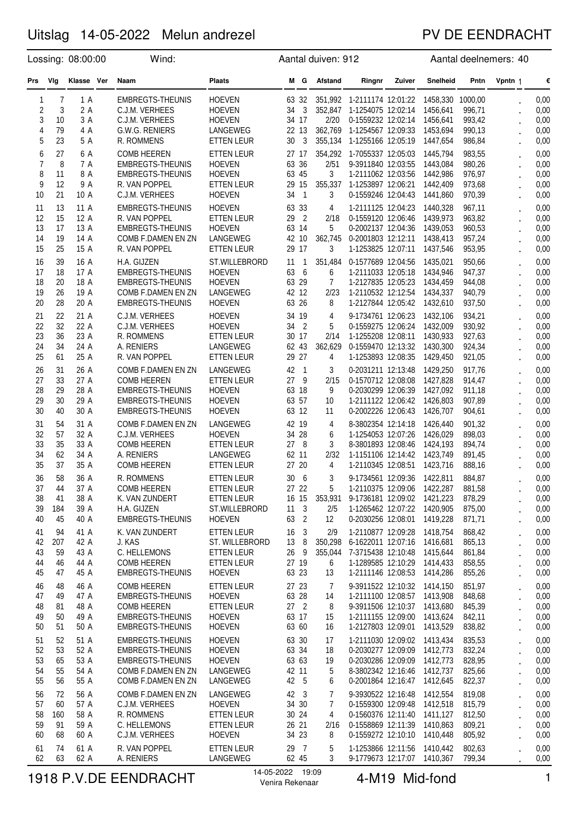### PV DE EENDRACHT

| Lossing: 08:00:00              |          |              | Wind:                                         | Aantal duiven: 912                     |                                        |                |                                                                   | Aantal deelnemers: 40 |                      |                  |                      |              |
|--------------------------------|----------|--------------|-----------------------------------------------|----------------------------------------|----------------------------------------|----------------|-------------------------------------------------------------------|-----------------------|----------------------|------------------|----------------------|--------------|
| Prs                            | Vlg      | Klasse Ver   | Naam                                          | <b>Plaats</b>                          | M G                                    | Afstand        | Ringnr                                                            | Zuiver                | Snelheid             | Pntn             | Vpntn 1              | €            |
| $\mathbf{1}$<br>$\overline{c}$ | 7<br>3   | 1 A<br>2 A   | <b>EMBREGTS-THEUNIS</b><br>C.J.M. VERHEES     | <b>HOEVEN</b><br><b>HOEVEN</b>         | 63 32<br>34<br>$\overline{\mathbf{3}}$ | 352,847        | 351,992 1-2111174 12:01:22 1458,330 1000,00<br>1-1254075 12:02:14 |                       | 1456,641             | 996,71           |                      | 0,00<br>0,00 |
| 3                              | 10       | 3 A          | C.J.M. VERHEES                                | <b>HOEVEN</b>                          | 34 17                                  | 2/20           | 0-1559232 12:02:14 1456,641                                       |                       |                      | 993,42           |                      | 0,00         |
| 4                              | 79       | 4 A          | G.W.G. RENIERS                                | LANGEWEG                               | 22 13                                  | 362,769        | 1-1254567 12:09:33 1453,694                                       |                       |                      | 990,13           |                      | 0,00         |
| 5                              | 23       | 5 A          | R. ROMMENS                                    | ETTEN LEUR                             | 30<br>$\overline{3}$                   | 355,134        | 1-1255166 12:05:19                                                |                       | 1447,654             | 986,84           |                      | 0,00         |
| 6                              | 27       | 6 A          | <b>COMB HEEREN</b>                            | <b>ETTEN LEUR</b>                      | 27 17                                  |                | 354,292 1-7055337 12:05:03                                        |                       | 1445,794             | 983,55           |                      | 0,00         |
| $\overline{7}$                 | 8        | 7 A          | <b>EMBREGTS-THEUNIS</b>                       | <b>HOEVEN</b>                          | 63 36                                  | 2/51           | 9-3911840 12:03:55 1443,084                                       |                       |                      | 980,26           |                      | 0,00         |
| 8                              | 11       | 8 A          | <b>EMBREGTS-THEUNIS</b>                       | <b>HOEVEN</b>                          | 63 45                                  | 3              | 1-2111062 12:03:56                                                |                       | 1442.986             | 976,97           |                      | 0,00         |
| 9                              | 12       | 9 A          | R. VAN POPPEL                                 | ETTEN LEUR                             | 29 15                                  | 355,337        | 1-1253897 12:06:21 1442,409                                       |                       |                      | 973,68           |                      | 0,00         |
| 10                             | 21       | 10 A         | C.J.M. VERHEES                                | <b>HOEVEN</b>                          | 34<br>$\overline{1}$                   | 3              | 0-1559246 12:04:43                                                |                       | 1441,860             | 970,39           |                      | 0,00         |
| 11                             | 13       | 11 A         | <b>EMBREGTS-THEUNIS</b>                       | <b>HOEVEN</b>                          | 63 33                                  | 4              | 1-2111125 12:04:23                                                |                       | 1440,328             | 967,11           |                      | 0,00         |
| 12                             | 15       | 12 A         | R. VAN POPPEL                                 | <b>ETTEN LEUR</b>                      | $\overline{2}$<br>29                   | 2/18           | 0-1559120 12:06:46 1439,973                                       |                       |                      | 963,82           |                      | 0,00         |
| 13                             | 17       | 13 A         | <b>EMBREGTS-THEUNIS</b>                       | <b>HOEVEN</b>                          | 63 14                                  | 5              | 0-2002137 12:04:36 1439,053                                       |                       |                      | 960,53           |                      | 0,00         |
| 14<br>15                       | 19<br>25 | 14 A<br>15 A | COMB F.DAMEN EN ZN<br>R. VAN POPPEL           | LANGEWEG<br><b>ETTEN LEUR</b>          | 42 10<br>29 17                         | 362,745<br>3   | 0-2001803 12:12:11 1438,413<br>1-1253825 12:07:11                 |                       | 1437,546             | 957,24<br>953,95 |                      | 0,00<br>0,00 |
| 16                             | 39       | 16 A         | H.A. GIJZEN                                   | ST.WILLEBRORD                          | $11 \quad 1$                           | 351,484        | 0-1577689 12:04:56                                                |                       | 1435,021             | 950,66           |                      | 0,00         |
| 17                             | 18       | 17 A         | EMBREGTS-THEUNIS                              | <b>HOEVEN</b>                          | 63<br>6                                | 6              | 1-2111033 12:05:18 1434,946                                       |                       |                      | 947,37           |                      | 0,00         |
| 18                             | 20       | 18 A         | <b>EMBREGTS-THEUNIS</b>                       | <b>HOEVEN</b>                          | 63 29                                  | 7              | 1-2127835 12:05:23 1434,459                                       |                       |                      | 944,08           |                      | 0,00         |
| 19                             | 26       | 19 A         | COMB F.DAMEN EN ZN                            | LANGEWEG                               | 42 12                                  | 2/23           | 1-2110532 12:12:54 1434,337                                       |                       |                      | 940,79           |                      | 0,00         |
| 20                             | 28       | 20 A         | EMBREGTS-THEUNIS                              | <b>HOEVEN</b>                          | 63 26                                  | 8              | 1-2127844 12:05:42                                                |                       | 1432,610             | 937,50           |                      | 0,00         |
| 21                             | 22       | 21 A         | C.J.M. VERHEES                                | <b>HOEVEN</b>                          | 34 19                                  | 4              | 9-1734761 12:06:23                                                |                       | 1432,106             | 934,21           |                      | 0,00         |
| 22                             | 32       | 22 A         | C.J.M. VERHEES                                | <b>HOEVEN</b>                          | 34<br>$\overline{2}$                   | 5              | 0-1559275 12:06:24                                                |                       | 1432,009             | 930,92           |                      | 0,00         |
| 23                             | 36       | 23 A         | R. ROMMENS                                    | <b>ETTEN LEUR</b>                      | 30 17                                  | 2/14           | 1-1255208 12:08:11                                                |                       | 1430,933             | 927,63           |                      | 0,00         |
| 24<br>25                       | 34<br>61 | 24 A<br>25 A | A. RENIERS<br>R. VAN POPPEL                   | LANGEWEG<br>ETTEN LEUR                 | 62 43<br>29 27                         | 362,629<br>4   | 0-1559470 12:13:32 1430,300<br>1-1253893 12:08:35                 |                       | 1429,450             | 924,34<br>921,05 |                      | 0,00<br>0,00 |
| 26                             | 31       | 26 A         | COMB F.DAMEN EN ZN                            | LANGEWEG                               | 42 1                                   | 3              | 0-2031211 12:13:48 1429,250                                       |                       |                      | 917,76           |                      | 0,00         |
| 27                             | 33       | 27 A         | <b>COMB HEEREN</b>                            | <b>ETTEN LEUR</b>                      | 27 9                                   | 2/15           | 0-1570712 12:08:08 1427,828                                       |                       |                      | 914,47           |                      | 0,00         |
| 28                             | 29       | 28 A         | <b>EMBREGTS-THEUNIS</b>                       | <b>HOEVEN</b>                          | 63 18                                  | 9              | 0-2030299 12:06:39 1427,092                                       |                       |                      | 911,18           |                      | 0,00         |
| 29                             | 30       | 29 A         | EMBREGTS-THEUNIS                              | <b>HOEVEN</b>                          | 63 57                                  | 10             | 1-2111122 12:06:42                                                |                       | 1426,803             | 907,89           |                      | 0,00         |
| 30                             | 40       | 30 A         | <b>EMBREGTS-THEUNIS</b>                       | <b>HOEVEN</b>                          | 63 12                                  | 11             | 0-2002226 12:06:43                                                |                       | 1426,707             | 904,61           |                      | 0,00         |
| 31                             | 54       | 31 A         | COMB F.DAMEN EN ZN                            | LANGEWEG                               | 42 19                                  | 4              | 8-3802354 12:14:18                                                |                       | 1426,440             | 901,32           |                      | 0,00         |
| 32                             | 57       | 32 A         | C.J.M. VERHEES                                | <b>HOEVEN</b>                          | 34 28                                  | 6              | 1-1254053 12:07:26 1426,029                                       |                       |                      | 898,03           |                      | 0,00         |
| 33                             | 35       | 33 A         | <b>COMB HEEREN</b>                            | ETTEN LEUR                             | 27 8                                   | 3              | 8-3801893 12:08:46                                                |                       | 1424,193             | 894,74           |                      | 0,00         |
| 34                             | 62       | 34 A         | A. RENIERS                                    | LANGEWEG                               | 62 11<br>27 20                         | 2/32           | 1-1151106 12:14:42 1423,749                                       |                       |                      | 891,45           |                      | 0,00         |
| 35                             | 37       | 35 A         | <b>COMB HEEREN</b>                            | <b>ETTEN LEUR</b>                      |                                        | 4              | 1-2110345 12:08:51                                                |                       | 1423,716             | 888,16           |                      | 0,00         |
| 36<br>37                       | 58<br>44 | 36 A<br>37 A | R. ROMMENS<br><b>COMB HEEREN</b>              | <b>ETTEN LEUR</b><br><b>ETTEN LEUR</b> | 30<br>6<br>27 22                       | 3<br>5         | 9-1734561 12:09:36<br>1-2110375 12:09:06                          |                       | 1422,811<br>1422,287 | 884,87<br>881,58 |                      | 0,00<br>0,00 |
| 38                             | 41       | 38 A         | K. VAN ZUNDERT                                | <b>ETTEN LEUR</b>                      | 16 15                                  |                | 353,931 9-1736181 12:09:02 1421,223                               |                       |                      | 878,29           |                      | 0,00         |
| 39                             | 184      | 39 A         | H.A. GIJZEN                                   | ST.WILLEBRORD                          | $11 \quad 3$                           | 2/5            | 1-1265462 12:07:22 1420,905                                       |                       |                      | 875,00           |                      | 0,00         |
| 40                             | 45       | 40 A         | EMBREGTS-THEUNIS                              | <b>HOEVEN</b>                          | 63 2                                   | 12             | 0-2030256 12:08:01 1419,228                                       |                       |                      | 871,71           | $\ddot{\phantom{0}}$ | 0,00         |
| 41                             | 94       | 41 A         | K. VAN ZUNDERT                                | <b>ETTEN LEUR</b>                      | 16<br>$\overline{3}$                   | 2/9            | 1-2110877 12:09:28 1418,754                                       |                       |                      | 868,42           |                      | 0,00         |
| 42                             | 207      | 42 A         | J. KAS                                        | ST. WILLEBRORD                         | 13 8                                   | 350,298        | 6-1622011 12:07:16 1416,681                                       |                       |                      | 865,13           |                      | 0,00         |
| 43                             | 59       | 43 A         | C. HELLEMONS                                  | ETTEN LEUR                             | 26 9                                   | 355,044        | 7-3715438 12:10:48 1415,644                                       |                       |                      | 861,84           |                      | 0,00         |
| 44                             | 46       | 44 A         | <b>COMB HEEREN</b>                            | ETTEN LEUR                             | 27 19                                  | 6              | 1-1289585 12:10:29 1414,433                                       |                       |                      | 858,55           |                      | 0,00         |
| 45                             | 47       | 45 A         | <b>EMBREGTS-THEUNIS</b>                       | <b>HOEVEN</b>                          | 63 23                                  | 13             | 1-2111146 12:08:53 1414,286                                       |                       |                      | 855,26           |                      | 0,00         |
| 46<br>47                       | 48<br>49 | 46 A<br>47 A | <b>COMB HEEREN</b><br><b>EMBREGTS-THEUNIS</b> | <b>ETTEN LEUR</b><br><b>HOEVEN</b>     | 27 23<br>63 28                         | 7<br>14        | 9-3911522 12:10:32 1414,150<br>1-2111100 12:08:57 1413,908        |                       |                      | 851,97<br>848,68 |                      | 0,00<br>0,00 |
| 48                             | 81       | 48 A         | <b>COMB HEEREN</b>                            | <b>ETTEN LEUR</b>                      | 27 <sub>2</sub>                        | 8              | 9-3911506 12:10:37 1413,680                                       |                       |                      | 845,39           |                      | 0,00         |
| 49                             | 50       | 49 A         | <b>EMBREGTS-THEUNIS</b>                       | <b>HOEVEN</b>                          | 63 17                                  | 15             | 1-2111155 12:09:00 1413,624                                       |                       |                      | 842,11           |                      | 0,00         |
| 50                             | 51       | 50 A         | <b>EMBREGTS-THEUNIS</b>                       | <b>HOEVEN</b>                          | 63 60                                  | 16             | 1-2127803 12:09:01 1413,529                                       |                       |                      | 838,82           |                      | 0,00         |
| 51                             | 52       | 51 A         | <b>EMBREGTS-THEUNIS</b>                       | <b>HOEVEN</b>                          | 63 30                                  | 17             | 1-2111030 12:09:02 1413,434                                       |                       |                      | 835,53           |                      | 0,00         |
| 52                             | 53       | 52 A         | <b>EMBREGTS-THEUNIS</b>                       | <b>HOEVEN</b>                          | 63 34                                  | 18             | 0-2030277 12:09:09 1412,773                                       |                       |                      | 832,24           |                      | 0,00         |
| 53                             | 65       | 53 A         | <b>EMBREGTS-THEUNIS</b>                       | <b>HOEVEN</b>                          | 63 63                                  | 19             | 0-2030286 12:09:09 1412,773                                       |                       |                      | 828,95           |                      | 0,00         |
| 54<br>55                       | 55<br>56 | 54 A<br>55 A | COMB F.DAMEN EN ZN<br>COMB F.DAMEN EN ZN      | LANGEWEG<br>LANGEWEG                   | 42 11<br>42 5                          | 5<br>6         | 8-3802342 12:16:46 1412,737<br>0-2001864 12:16:47                 |                       | 1412,645             | 825,66<br>822,37 |                      | 0,00<br>0,00 |
| 56                             |          | 56 A         | COMB F.DAMEN EN ZN                            | LANGEWEG                               | 42 3                                   | $\overline{7}$ | 9-3930522 12:16:48 1412,554                                       |                       |                      |                  | $\ddot{\phantom{0}}$ |              |
| 57                             | 72<br>60 | 57 A         | C.J.M. VERHEES                                | <b>HOEVEN</b>                          | 34 30                                  | 7              | 0-1559300 12:09:48 1412,518                                       |                       |                      | 819,08<br>815,79 |                      | 0,00<br>0,00 |
| 58                             | 160      | 58 A         | R. ROMMENS                                    | ETTEN LEUR                             | 30 24                                  | 4              | 0-1560376 12:11:40 1411,127                                       |                       |                      | 812,50           |                      | 0,00         |
| 59                             | 91       | 59 A         | C. HELLEMONS                                  | ETTEN LEUR                             | 26 21                                  | 2/16           | 0-1558869 12:11:39 1410,863                                       |                       |                      | 809,21           |                      | 0,00         |
| 60                             | 68       | 60 A         | C.J.M. VERHEES                                | <b>HOEVEN</b>                          | 34 23                                  | 8              | 0-1559272 12:10:10 1410,448                                       |                       |                      | 805,92           |                      | 0,00         |
| 61                             | 74       | 61 A         | R. VAN POPPEL                                 | ETTEN LEUR                             | 29 7                                   | 5              | 1-1253866 12:11:56 1410,442                                       |                       |                      | 802,63           |                      | 0,00         |
| 62                             | 63       | 62 A         | A. RENIERS                                    | LANGEWEG                               | 62 45                                  | 3              | 9-1779673 12:17:07 1410,367                                       |                       |                      | 799,34           |                      | 0,00         |

# 1918 P.V.DE EENDRACHT <sup>14-05-2022</sup> <sup>19:09</sup> 4-M19 Mid-fond 1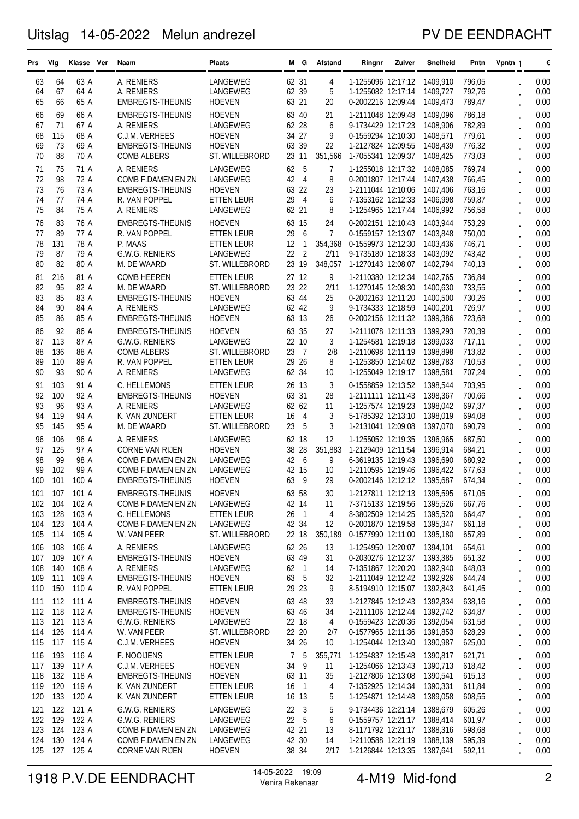### PV DE EENDRACHT

| Prs        | Vlg        | Klasse Ver     | Naam                                               | <b>Plaats</b>                       |                | MG.                     | Afstand        | Ringnr                                            | Zuiver | Snelheid             | Pntn             | Vpntn 1              | €            |
|------------|------------|----------------|----------------------------------------------------|-------------------------------------|----------------|-------------------------|----------------|---------------------------------------------------|--------|----------------------|------------------|----------------------|--------------|
| 63         | 64         | 63 A           | A. RENIERS                                         | LANGEWEG                            | 62 31          |                         | 4              | 1-1255096 12:17:12                                |        | 1409,910             | 796,05           |                      | 0,00         |
| 64         | 67         | 64 A           | A. RENIERS                                         | LANGEWEG                            | 62 39          |                         | 5              | 1-1255082 12:17:14                                |        | 1409,727             | 792,76           |                      | 0,00         |
| 65         | 66         | 65 A           | <b>EMBREGTS-THEUNIS</b>                            | <b>HOEVEN</b>                       | 63 21          |                         | 20             | 0-2002216 12:09:44                                |        | 1409,473             | 789,47           |                      | 0,00         |
| 66         | 69         | 66 A           | <b>EMBREGTS-THEUNIS</b>                            | <b>HOEVEN</b>                       | 63 40          |                         | 21             | 1-2111048 12:09:48                                |        | 1409,096             | 786,18           |                      | 0,00         |
| 67         | 71         | 67 A           | A. RENIERS                                         | LANGEWEG                            | 62 28          |                         | 6              | 9-1734429 12:17:23                                |        | 1408,906             | 782,89           |                      | 0,00         |
| 68         | 115        | 68 A           | C.J.M. VERHEES                                     | <b>HOEVEN</b>                       |                | 34 27                   | 9              | 0-1559294 12:10:30                                |        | 1408,571             | 779,61           |                      | 0,00         |
| 69         | 73         | 69 A           | <b>EMBREGTS-THEUNIS</b>                            | <b>HOEVEN</b>                       | 63 39          |                         | 22             | 1-2127824 12:09:55                                |        | 1408,439             | 776,32           |                      | 0,00         |
| 70         | 88         | 70 A           | <b>COMB ALBERS</b>                                 | ST. WILLEBRORD                      | 23             | 11                      | 351,566        | 1-7055341 12:09:37                                |        | 1408,425             | 773,03           |                      | 0,00         |
| 71         | 75         | 71 A           | A. RENIERS                                         | <b>LANGEWEG</b>                     | 62             | 5                       | 7              | 1-1255018 12:17:32                                |        | 1408,085             | 769,74           |                      | 0,00         |
| 72         | 98         | 72 A           | COMB F.DAMEN EN ZN                                 | <b>LANGEWEG</b>                     | 42             | $\overline{4}$          | 8              | 0-2001807 12:17:44                                |        | 1407,438             | 766,45           |                      | 0,00         |
| 73<br>74   | 76<br>77   | 73 A<br>74 A   | <b>EMBREGTS-THEUNIS</b><br>R. VAN POPPEL           | <b>HOEVEN</b><br><b>ETTEN LEUR</b>  | 63<br>29       | 22<br>$\overline{4}$    | 23<br>6        | 1-2111044 12:10:06<br>7-1353162 12:12:33          |        | 1407,406<br>1406,998 | 763,16<br>759,87 |                      | 0,00<br>0,00 |
| 75         | 84         | 75 A           | A. RENIERS                                         | LANGEWEG                            |                | 62 21                   | 8              | 1-1254965 12:17:44                                |        | 1406,992             | 756,58           |                      | 0,00         |
| 76         | 83         | 76 A           | <b>EMBREGTS-THEUNIS</b>                            | <b>HOEVEN</b>                       | 63 15          |                         | 24             | 0-2002151 12:10:43                                |        | 1403,944             | 753,29           |                      | 0,00         |
| 77         | 89         | 77 A           | R. VAN POPPEL                                      | ETTEN LEUR                          | 29             | 6                       | $\overline{7}$ | 0-1559157 12:13:07                                |        | 1403,848             | 750,00           |                      | 0,00         |
| 78         | 131        | 78 A           | P. MAAS                                            | <b>ETTEN LEUR</b>                   | 12             | $\mathbf{1}$            | 354,368        | 0-1559973 12:12:30                                |        | 1403,436             | 746,71           |                      | 0,00         |
| 79         | 87         | 79 A           | G.W.G. RENIERS                                     | <b>LANGEWEG</b>                     | 22             | $\overline{c}$          | 2/11           | 9-1735180 12:18:33                                |        | 1403,092             | 743,42           |                      | 0,00         |
| 80         | 82         | 80 A           | M. DE WAARD                                        | ST. WILLEBRORD                      |                | 23 19                   | 348,057        | 1-1270143 12:08:07                                |        | 1402,794             | 740,13           |                      | 0,00         |
| 81         | 216        | 81 A           | <b>COMB HEEREN</b>                                 | <b>ETTEN LEUR</b>                   | 27 12          |                         | 9              | 1-2110380 12:12:34                                |        | 1402,765             | 736,84           |                      | 0,00         |
| 82         | 95         | 82 A           | M. DE WAARD                                        | ST. WILLEBRORD                      | 23             | 22                      | 2/11           | 1-1270145 12:08:30                                |        | 1400,630             | 733,55           |                      | 0,00         |
| 83         | 85         | 83 A           | <b>EMBREGTS-THEUNIS</b>                            | <b>HOEVEN</b>                       | 63 44          |                         | 25             | 0-2002163 12:11:20                                |        | 1400,500             | 730,26           |                      | 0,00         |
| 84         | 90         | 84 A           | A. RENIERS                                         | LANGEWEG                            | 62 42          |                         | 9              | 9-1734333 12:18:59                                |        | 1400,201             | 726,97           |                      | 0,00         |
| 85         | 86         | 85 A           | <b>EMBREGTS-THEUNIS</b>                            | <b>HOEVEN</b>                       | 63 13          |                         | 26             | 0-2002156 12:11:32                                |        | 1399,386             | 723,68           |                      | 0,00         |
| 86         | 92         | 86 A           | <b>EMBREGTS-THEUNIS</b>                            | <b>HOEVEN</b>                       | 63             | 35                      | 27             | 1-2111078 12:11:33                                |        | 1399,293             | 720,39           |                      | 0,00         |
| 87         | 113        | 87 A           | G.W.G. RENIERS                                     | LANGEWEG                            |                | 22 10<br>$\overline{7}$ | 3<br>2/8       | 1-1254581 12:19:18                                |        | 1399,033             | 717,11           |                      | 0,00         |
| 88<br>89   | 136<br>110 | 88 A<br>89 A   | <b>COMB ALBERS</b><br>R. VAN POPPEL                | ST. WILLEBRORD<br><b>ETTEN LEUR</b> | 23<br>29       | 26                      | 8              | 1-2110698 12:11:19<br>1-1253850 12:14:02          |        | 1398,898<br>1398,783 | 713,82<br>710,53 |                      | 0,00<br>0,00 |
| 90         | 93         | 90 A           | A. RENIERS                                         | LANGEWEG                            | 62             | 34                      | 10             | 1-1255049 12:19:17                                |        | 1398,581             | 707,24           |                      | 0,00         |
| 91         | 103        | 91 A           | C. HELLEMONS                                       | <b>ETTEN LEUR</b>                   |                | 26 13                   | 3              | 0-1558859 12:13:52                                |        | 1398,544             | 703,95           |                      | 0,00         |
| 92         | 100        | 92 A           | <b>EMBREGTS-THEUNIS</b>                            | <b>HOEVEN</b>                       | 63             | 31                      | 28             | 1-2111111 12:11:43                                |        | 1398,367             | 700,66           |                      | 0,00         |
| 93         | 96         | 93 A           | A. RENIERS                                         | LANGEWEG                            | 62 62          |                         | 11             | 1-1257574 12:19:23                                |        | 1398,042             | 697,37           |                      | 0,00         |
| 94         | 119        | 94 A           | K. VAN ZUNDERT                                     | <b>ETTEN LEUR</b>                   | 16             | 4                       | 3              | 5-1785392 12:13:10                                |        | 1398,019             | 694,08           |                      | 0,00         |
| 95         | 145        | 95 A           | M. DE WAARD                                        | ST. WILLEBRORD                      | 23             | 5                       | 3              | 1-2131041 12:09:08                                |        | 1397,070             | 690,79           |                      | 0,00         |
| 96         | 106        | 96 A           | A. RENIERS                                         | LANGEWEG                            | 62 18          |                         | 12             | 1-1255052 12:19:35                                |        | 1396.965             | 687,50           |                      | 0,00         |
| 97         | 125        | 97 A           | <b>CORNE VAN RIJEN</b>                             | <b>HOEVEN</b>                       | 38             | 28                      | 351,883        | 1-2129409 12:11:54                                |        | 1396.914             | 684,21           |                      | 0,00         |
| 98<br>99   | 99<br>102  | 98 A<br>99 A   | COMB F.DAMEN EN ZN<br>COMB F.DAMEN EN ZN           | LANGEWEG<br>LANGEWEG                | 42<br>42 15    | 6                       | 9<br>10        | 6-3619135 12:19:43<br>1-2110595 12:19:46          |        | 1396,690<br>1396,422 | 680,92<br>677,63 |                      | 0,00         |
| 100        | 101        | 100 A          | <b>EMBREGTS-THEUNIS</b>                            | <b>HOEVEN</b>                       | 63             | 9                       | 29             | 0-2002146 12:12:12                                |        | 1395,687             | 674,34           |                      | 0,00<br>0,00 |
| 101        | 107        | 101 A          | <b>EMBREGTS-THEUNIS</b>                            | <b>HOEVEN</b>                       |                | 63 58                   | 30             | 1-2127811 12:12:13 1395,595                       |        |                      | 671,05           |                      | 0,00         |
| 102        | 104        | 102 A          | COMB F.DAMEN EN ZN                                 | LANGEWEG                            | 42 14          |                         | 11             | 7-3715133 12:19:56 1395,526                       |        |                      | 667,76           |                      | 0,00         |
| 103        | 128        | 103 A          | C. HELLEMONS                                       | <b>ETTEN LEUR</b>                   | 26             | $\overline{1}$          | 4              | 8-3802509 12:14:25                                |        | 1395,520             | 664,47           |                      | 0,00         |
| 104        | 123        | 104 A          | COMB F.DAMEN EN ZN                                 | LANGEWEG                            | 42 34          |                         | 12             | 0-2001870 12:19:58                                |        | 1395,347             | 661,18           |                      | 0,00         |
| 105        | 114        | 105 A          | W. VAN PEER                                        | ST. WILLEBRORD                      | 22 18          |                         | 350,189        | 0-1577990 12:11:00 1395,180                       |        |                      | 657,89           |                      | 0,00         |
| 106        | 108        | 106 A          | A. RENIERS                                         | LANGEWEG                            | 62 26          |                         | 13             | 1-1254950 12:20:07 1394,101                       |        |                      | 654,61           |                      | 0,00         |
| 107        | 109        | 107 A          | <b>EMBREGTS-THEUNIS</b>                            | <b>HOEVEN</b>                       | 63 49          |                         | 31             | 0-2030276 12:12:37 1393,385                       |        |                      | 651,32           |                      | 0,00         |
| 108        | 140        | 108 A          | A. RENIERS                                         | LANGEWEG                            | 62 1           |                         | 14             | 7-1351867 12:20:20 1392,940                       |        |                      | 648,03           | $\ddot{\phantom{0}}$ | 0,00         |
| 109        | 111        | 109 A          | <b>EMBREGTS-THEUNIS</b>                            | <b>HOEVEN</b>                       | 63 5           |                         | 32             | 1-2111049 12:12:42 1392,926                       |        |                      | 644,74           | $\ddot{\phantom{0}}$ | 0,00         |
| 110        | 150        | 110 A          | R. VAN POPPEL                                      | ETTEN LEUR                          |                | 29 23                   | 9              | 8-5194910 12:15:07 1392,843                       |        |                      | 641,45           | $\ddot{\phantom{0}}$ | 0,00         |
| 111<br>112 | 112<br>118 | 111 A<br>112 A | <b>EMBREGTS-THEUNIS</b><br><b>EMBREGTS-THEUNIS</b> | <b>HOEVEN</b><br><b>HOEVEN</b>      | 63 48          |                         | 33<br>34       | 1-2127845 12:12:43<br>1-2111106 12:12:44 1392,742 |        | 1392,834             | 638,16<br>634,87 |                      | 0,00         |
| 113        | 121        | 113 A          | G.W.G. RENIERS                                     | LANGEWEG                            | 63 46          | 22 18                   | 4              | 0-1559423 12:20:36                                |        | 1392,054             | 631,58           |                      | 0,00<br>0,00 |
| 114        | 126        | 114 A          | W. VAN PEER                                        | ST. WILLEBRORD                      |                | 22 20                   | 2/7            | 0-1577965 12:11:36 1391,853                       |        |                      | 628,29           | $\ddot{\phantom{0}}$ | 0,00         |
| 115        | 117        | 115 A          | C.J.M. VERHEES                                     | <b>HOEVEN</b>                       |                | 34 26                   | 10             | 1-1254044 12:13:40                                |        | 1390,987             | 625,00           | $\ddot{\phantom{0}}$ | 0,00         |
| 116        | 193        | 116 A          | F. NOOIJENS                                        | <b>ETTEN LEUR</b>                   | $\overline{7}$ | -5                      | 355,771        | 1-1254837 12:15:48                                |        | 1390,817             | 621,71           |                      | 0,00         |
| 117        | 139        | 117 A          | C.J.M. VERHEES                                     | <b>HOEVEN</b>                       |                | 34 9                    | 11             | 1-1254066 12:13:43                                |        | 1390,713             | 618,42           | $\ddot{\phantom{0}}$ | 0,00         |
| 118        | 132        | 118 A          | <b>EMBREGTS-THEUNIS</b>                            | <b>HOEVEN</b>                       | 63 11          |                         | 35             | 1-2127806 12:13:08                                |        | 1390,541             | 615,13           |                      | 0,00         |
| 119        | 120        | 119 A          | K. VAN ZUNDERT                                     | ETTEN LEUR                          | 16 1           |                         | 4              | 7-1352925 12:14:34 1390,331                       |        |                      | 611,84           |                      | 0,00         |
| 120        | 133        | 120 A          | K. VAN ZUNDERT                                     | ETTEN LEUR                          | 16 13          |                         | 5              | 1-1254871 12:14:48                                |        | 1389,058             | 608,55           |                      | 0,00         |
| 121        | 122        | 121 A          | G.W.G. RENIERS                                     | LANGEWEG                            | $22 \quad 3$   |                         | 5              | 9-1734436 12:21:14 1388,679                       |        |                      | 605,26           |                      | 0,00         |
| 122        | 129        | 122 A          | G.W.G. RENIERS                                     | LANGEWEG                            |                | 22 <sub>5</sub>         | 6              | 0-1559757 12:21:17 1388,414                       |        |                      | 601,97           |                      | 0,00         |
| 123<br>124 | 124<br>130 | 123 A<br>124 A | COMB F.DAMEN EN ZN<br>COMB F.DAMEN EN ZN           | LANGEWEG<br>LANGEWEG                | 42 21<br>42 30 |                         | 13<br>14       | 8-1171792 12:21:17<br>1-2110588 12:21:19          |        | 1388,316<br>1388,139 | 598,68<br>595,39 |                      | 0,00<br>0,00 |
|            | 125 127    | 125 A          | CORNE VAN RIJEN                                    | <b>HOEVEN</b>                       |                | 38 34                   | 2/17           | 1-2126844 12:13:35 1387,641                       |        |                      | 592,11           |                      | 0,00         |
|            |            |                |                                                    |                                     |                |                         |                |                                                   |        |                      |                  |                      |              |

# 1918 P.V.DE EENDRACHT <sup>14-05-2022</sup> <sup>19:09</sup> 2 Venira Rekenaar 4-M19 Mid-fond 2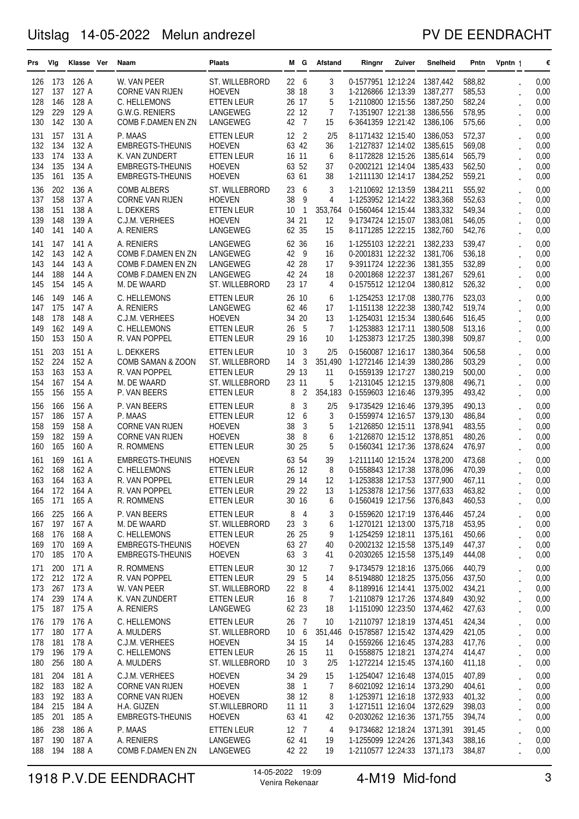### PV DE EENDRACHT

| Prs        | Vlg        | Klasse Ver     | Naam                                  | Plaats                         |                          | MG.            | Afstand        | Ringnr                                                     | Zuiver | <b>Snelheid</b> | Pntn             | Vpntn 1              | €            |
|------------|------------|----------------|---------------------------------------|--------------------------------|--------------------------|----------------|----------------|------------------------------------------------------------|--------|-----------------|------------------|----------------------|--------------|
| 126        | 173        | 126 A          | W. VAN PEER                           | ST. WILLEBRORD                 | 22                       | 6              | 3              | 0-1577951 12:12:24                                         |        | 1387,442        | 588,82           |                      | 0,00         |
| 127        | 137        | 127 A          | <b>CORNE VAN RIJEN</b>                | <b>HOEVEN</b>                  | 38 18                    |                | 3              | 1-2126866 12:13:39                                         |        | 1387,277        | 585,53           |                      | 0,00         |
| 128        | 146        | 128 A          | C. HELLEMONS                          | <b>ETTEN LEUR</b>              | 26 17                    |                | 5              | 1-2110800 12:15:56                                         |        | 1387,250        | 582,24           |                      | 0,00         |
| 129        | 229        | 129 A          | G.W.G. RENIERS                        | LANGEWEG                       | 22 12                    |                | 7              | 7-1351907 12:21:38                                         |        | 1386,556        | 578,95           |                      | 0,00         |
| 130        | 142        | 130 A          | COMB F.DAMEN EN ZN                    | LANGEWEG                       | 42                       | $\overline{7}$ | 15             | 6-3641359 12:21:42                                         |        | 1386,106        | 575,66           |                      | 0,00         |
| 131        | 157        | 131 A          | P. MAAS                               | <b>ETTEN LEUR</b>              | 12                       | $\overline{2}$ | 2/5            | 8-1171432 12:15:40                                         |        | 1386,053        | 572,37           |                      | 0,00         |
| 132        | 134        | 132 A          | <b>EMBREGTS-THEUNIS</b>               | <b>HOEVEN</b>                  | 63 42                    |                | 36             | 1-2127837 12:14:02 1385,615                                |        |                 | 569,08           |                      | 0,00         |
| 133        | 174        | 133 A          | K. VAN ZUNDERT                        | <b>ETTEN LEUR</b>              | 16 11                    |                | 6              | 8-1172828 12:15:26                                         |        | 1385,614        | 565,79           |                      | 0,00         |
| 134        | 135        | 134 A          | <b>EMBREGTS-THEUNIS</b>               | <b>HOEVEN</b>                  | 63 52                    |                | 37             | 0-2002121 12:14:04                                         |        | 1385,433        | 562,50           |                      | 0,00         |
| 135        | 161        | 135 A          | <b>EMBREGTS-THEUNIS</b>               | <b>HOEVEN</b>                  | 63 61                    |                | 38             | 1-2111130 12:14:17                                         |        | 1384,252        | 559,21           |                      | 0,00         |
| 136        | 202        | 136 A          | <b>COMB ALBERS</b>                    | ST. WILLEBRORD                 | 23                       | - 6            | 3              | 1-2110692 12:13:59                                         |        | 1384,211        | 555,92           |                      | 0,00         |
| 137        | 158        | 137 A          | <b>CORNE VAN RIJEN</b>                | <b>HOEVEN</b>                  | 38                       | 9              | 4              | 1-1253952 12:14:22                                         |        | 1383,368        | 552,63           |                      | 0,00         |
| 138        | 151        | 138 A          | L. DEKKERS                            | <b>ETTEN LEUR</b>              | 10                       | 1              | 353,764        | 0-1560464 12:15:44                                         |        | 1383,332        | 549,34           |                      | 0,00         |
| 139        | 148        | 139 A          | C.J.M. VERHEES                        | <b>HOEVEN</b>                  | 34                       | 21             | 12             | 9-1734724 12:15:07 1383,081                                |        |                 | 546,05           |                      | 0,00         |
| 140        | 141        | 140 A          | A. RENIERS                            | LANGEWEG                       | 62 35                    |                | 15             | 8-1171285 12:22:15                                         |        | 1382,760        | 542,76           |                      | 0,00         |
| 141        | 147        | 141 A          | A. RENIERS                            | LANGEWEG                       | 62 36                    |                | 16             | 1-1255103 12:22:21                                         |        | 1382,233        | 539,47           |                      | 0,00         |
| 142        | 143        | 142 A          | COMB F.DAMEN EN ZN                    | LANGEWEG                       | 42                       | - 9            | 16             | 0-2001831 12:22:32                                         |        | 1381,706        | 536,18           |                      | 0,00         |
| 143        | 144        | 143 A          | COMB F.DAMEN EN ZN                    | LANGEWEG                       | 42 28                    |                | 17             | 9-3911724 12:22:36                                         |        | 1381,355        | 532,89           |                      | 0,00         |
| 144        | 188        | 144 A          | COMB F.DAMEN EN ZN                    | LANGEWEG                       | 42 24                    |                | 18             | 0-2001868 12:22:37 1381,267                                |        |                 | 529,61           |                      | 0,00         |
| 145        | 154        | 145 A          | M. DE WAARD                           | ST. WILLEBRORD                 | 23 17                    |                | 4              | 0-1575512 12:12:04                                         |        | 1380,812        | 526,32           |                      | 0,00         |
| 146        | 149        | 146 A          | C. HELLEMONS                          | ETTEN LEUR                     | 26 10                    |                | 6              | 1-1254253 12:17:08                                         |        | 1380.776        | 523,03           |                      | 0,00         |
| 147        | 175        | 147 A          | A. RENIERS                            | LANGEWEG                       | 62 46                    |                | 17             | 1-1151138 12:22:38 1380,742                                |        |                 | 519,74           |                      | 0,00         |
| 148        | 178        | 148 A          | C.J.M. VERHEES                        | <b>HOEVEN</b>                  | 34 20                    |                | 13             | 1-1254031 12:15:34 1380,646                                |        |                 | 516,45           |                      | 0,00         |
| 149        | 162        | 149 A          | C. HELLEMONS                          | ETTEN LEUR                     | 26                       | - 5            | 7              | 1-1253883 12:17:11                                         |        | 1380.508        | 513,16           |                      | 0,00         |
| 150        | 153        | 150 A          | R. VAN POPPEL                         | <b>ETTEN LEUR</b>              | 29 16                    |                | 10             | 1-1253873 12:17:25                                         |        | 1380,398        | 509,87           |                      | 0,00         |
| 151        | 203        | 151 A          | L. DEKKERS                            | <b>ETTEN LEUR</b>              | 10                       | 3              | 2/5            | 0-1560087 12:16:17                                         |        | 1380,364        | 506,58           |                      | 0,00         |
| 152        | 224        | 152 A          | COMB SAMAN & ZOON                     | ST. WILLEBRORD                 | 14                       | 3              | 351,490        | 1-1272146 12:14:39                                         |        | 1380,286        | 503,29           |                      | 0,00         |
| 153        | 163        | 153 A          | R. VAN POPPEL                         | <b>ETTEN LEUR</b>              | 29 13                    |                | 11             | 0-1559139 12:17:27                                         |        | 1380,219        | 500,00           |                      | 0,00         |
| 154        | 167        | 154 A          | M. DE WAARD                           | ST. WILLEBRORD                 | 23 11                    |                | 5              | 1-2131045 12:12:15                                         |        | 1379,808        | 496,71           |                      | 0,00         |
| 155        | 156        | 155 A          | P. VAN BEERS                          | <b>ETTEN LEUR</b>              | 8                        | $\overline{2}$ | 354,183        | 0-1559603 12:16:46                                         |        | 1379,395        | 493,42           |                      | 0,00         |
| 156        | 166        | 156 A          | P. VAN BEERS                          | <b>ETTEN LEUR</b>              | 8                        | 3              | 2/5            | 9-1735429 12:16:46                                         |        | 1379,395        | 490,13           |                      | 0,00         |
| 157        | 186        | 157 A          | P. MAAS                               | ETTEN LEUR                     | 12                       | 6              | 3              | 0-1559974 12:16:57                                         |        | 1379,130        | 486,84           |                      | 0,00         |
| 158        | 159        | 158 A          | <b>CORNE VAN RIJEN</b>                | <b>HOEVEN</b>                  | 38                       | 3              | 5              | 1-2126850 12:15:11 1378,941                                |        |                 | 483,55           |                      | 0,00         |
| 159        | 182        | 159 A          | <b>CORNE VAN RIJEN</b>                | <b>HOEVEN</b>                  | 38                       | 8              | 6              | 1-2126870 12:15:12                                         |        | 1378,851        | 480,26           |                      | 0,00         |
| 160        | 165        | 160 A          | R. ROMMENS                            | <b>ETTEN LEUR</b>              | 30 25                    |                | 5              | 0-1560341 12:17:36                                         |        | 1378,624        | 476,97           |                      | 0,00         |
| 161        | 169        | 161 A          | <b>EMBREGTS-THEUNIS</b>               | <b>HOEVEN</b>                  | 63                       | 54             | 39             | 1-2111140 12:15:24                                         |        | 1378,200        | 473,68           |                      | 0,00         |
| 162        | 168        | 162 A          | C. HELLEMONS                          | ETTEN LEUR                     | 26 12                    |                | 8              | 0-1558843 12:17:38                                         |        | 1378,096        | 470,39           |                      | 0,00         |
| 163        | 164        | 163 A          | R. VAN POPPEL                         | ETTEN LEUR                     | 29 14                    |                | 12             | 1-1253838 12:17:53                                         |        | 1377,900        | 467,11           |                      | 0,00         |
| 164        | 172        | 164 A          | R. VAN POPPEL                         | ETTEN LEUR                     | 29 22                    |                | $13\,$         | 1-1253878 12:17:56 1377,633                                |        |                 | 463,82           |                      | 0,00         |
| 165        |            | 171 165 A      | R. ROMMENS                            | <b>ETTEN LEUR</b>              | 30 16                    |                | 6              | 0-1560419 12:17:56 1376,843                                |        |                 | 460,53           |                      | 0,00         |
| 166        | 225        | 166 A          | P. VAN BEERS                          | <b>ETTEN LEUR</b>              | 8                        | $\overline{4}$ | 3              | 0-1559620 12:17:19 1376,446                                |        |                 | 457,24           |                      | 0,00         |
| 167        | 197        | 167 A          | M. DE WAARD                           | ST. WILLEBRORD                 |                          | 23 3           | 6              | 1-1270121 12:13:00 1375,718                                |        |                 | 453,95           |                      | 0,00         |
| 168        | 176        | 168 A          | C. HELLEMONS                          | <b>ETTEN LEUR</b>              | 26 25                    |                | 9              | 1-1254259 12:18:11 1375,161                                |        |                 | 450,66           |                      | 0,00         |
| 169        | 170        | 169 A          | <b>EMBREGTS-THEUNIS</b>               | <b>HOEVEN</b>                  | 63 27                    |                | 40             | 0-2002132 12:15:58 1375,149                                |        |                 | 447,37           |                      | 0,00         |
| 170        | 185        | 170 A          | <b>EMBREGTS-THEUNIS</b>               | <b>HOEVEN</b>                  | 63 3                     |                | 41             | 0-2030265 12:15:58 1375,149                                |        |                 | 444,08           | $\ddot{\phantom{0}}$ | 0,00         |
| 171        | 200        | 171 A          | R. ROMMENS                            | <b>ETTEN LEUR</b>              | 30 12                    |                | 7              | 9-1734579 12:18:16                                         |        | 1375.066        | 440,79           |                      | 0,00         |
| 172        | 212        | 172 A          | R. VAN POPPEL                         | <b>ETTEN LEUR</b>              | 29 5                     |                | 14             | 8-5194880 12:18:25 1375,056                                |        |                 | 437,50           |                      | 0,00         |
| 173        | 267        | 173 A          | W. VAN PEER                           | ST. WILLEBRORD                 | 22 8                     |                | 4              | 8-1189916 12:14:41 1375,002                                |        |                 | 434,21           |                      | 0,00         |
| 174        | 239        | 174 A          | K. VAN ZUNDERT                        | <b>ETTEN LEUR</b>              | 16 8                     |                | 7              | 1-2110879 12:17:26 1374,849                                |        |                 | 430,92           | $\ddot{\phantom{a}}$ | 0,00         |
| 175        | 187        | 175 A          | A. RENIERS                            | LANGEWEG                       | 62 23                    |                | 18             | 1-1151090 12:23:50 1374,462                                |        |                 | 427,63           | $\ddot{\phantom{0}}$ | 0,00         |
| 176        | 179        | 176 A          | C. HELLEMONS                          | <b>ETTEN LEUR</b>              | 26                       | $\overline{7}$ | 10             | 1-2110797 12:18:19 1374,451                                |        |                 | 424,34           |                      | 0,00         |
| 177        | 180        | 177 A          | A. MULDERS                            | ST. WILLEBRORD                 | 10 6                     |                | 351,446        | 0-1578587 12:15:42 1374,429                                |        |                 | 421,05           | $\ddot{\phantom{0}}$ | 0,00         |
| 178        | 181        | 178 A          | C.J.M. VERHEES                        | <b>HOEVEN</b>                  | 34 15                    |                | 14             | 0-1559266 12:16:45 1374,283                                |        |                 | 417,76           |                      | 0,00         |
| 179        | 196<br>256 | 179 A          | C. HELLEMONS                          | <b>ETTEN LEUR</b>              | 26 15<br>10 <sup>3</sup> |                | 11             | 0-1558875 12:18:21 1374,274                                |        |                 | 414,47           |                      | 0,00         |
| 180        |            | 180 A          | A. MULDERS                            | ST. WILLEBRORD                 |                          |                | 2/5            | 1-1272214 12:15:45 1374,160                                |        |                 | 411,18           |                      | 0,00         |
| 181        | 204        | 181 A          | C.J.M. VERHEES                        | <b>HOEVEN</b>                  | 34 29                    |                | 15             | 1-1254047 12:16:48 1374,015                                |        |                 | 407,89           |                      | 0,00         |
| 182        | 183        | 182 A          | <b>CORNE VAN RIJEN</b>                | <b>HOEVEN</b>                  | 38 1                     |                | $\overline{7}$ | 8-6021092 12:16:14 1373,290                                |        |                 | 404,61           |                      | 0,00         |
| 183<br>184 | 192<br>215 | 183 A<br>184 A | <b>CORNE VAN RIJEN</b><br>H.A. GIJZEN | <b>HOEVEN</b><br>ST.WILLEBRORD | 38 12<br>11 11           |                | 8<br>3         | 1-1253971 12:16:18 1372,933<br>1-1271511 12:16:04 1372,629 |        |                 | 401,32<br>398,03 | $\ddot{\phantom{0}}$ | 0,00<br>0,00 |
| 185        | 201        | 185 A          | <b>EMBREGTS-THEUNIS</b>               | <b>HOEVEN</b>                  | 63 41                    |                | 42             | 0-2030262 12:16:36 1371,755                                |        |                 | 394,74           |                      | 0,00         |
|            |            |                |                                       |                                |                          |                |                |                                                            |        |                 |                  |                      |              |
| 186<br>187 | 238<br>190 | 186 A<br>187 A | P. MAAS<br>A. RENIERS                 | <b>ETTEN LEUR</b><br>LANGEWEG  | 12 7<br>62 41            |                | 4<br>19        | 9-1734682 12:18:24 1371,391<br>1-1255099 12:24:26 1371,343 |        |                 | 391,45<br>388,16 |                      | 0,00<br>0,00 |
| 188        | 194        | 188 A          | COMB F.DAMEN EN ZN                    | LANGEWEG                       | 42 22                    |                | 19             | 1-2110577 12:24:33 1371,173                                |        |                 | 384,87           |                      | 0,00         |
|            |            |                |                                       |                                |                          |                |                |                                                            |        |                 |                  |                      |              |

# 1918 P.V.DE EENDRACHT <sup>14-05-2022</sup> <sup>19:09</sup> 3 4-M19 Mid-fond 3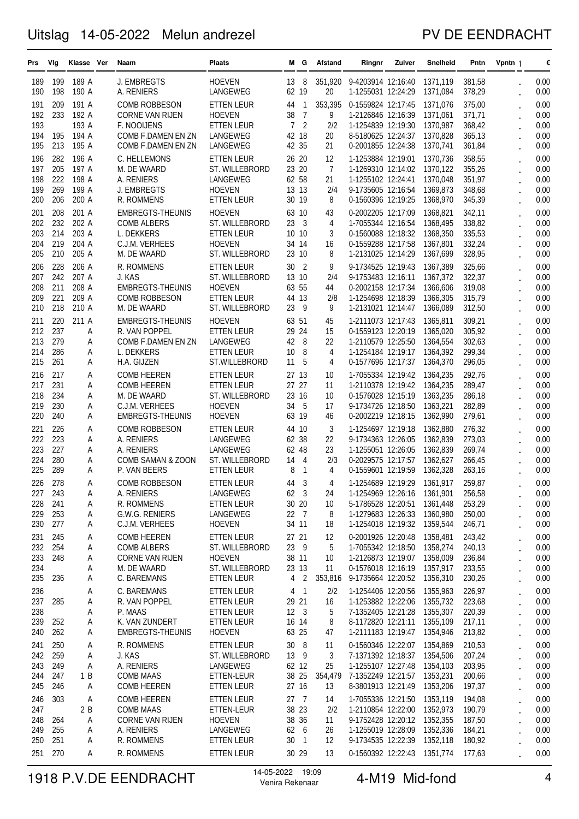### PV DE EENDRACHT

| Prs        | Vlg        | Klasse Ver     | Naam                                           | Plaats                              |                | MG.                            | Afstand              | Ringnr                                                     | Zuiver | Snelheid             | Pntn             | Vpntn 1 | €            |
|------------|------------|----------------|------------------------------------------------|-------------------------------------|----------------|--------------------------------|----------------------|------------------------------------------------------------|--------|----------------------|------------------|---------|--------------|
| 189        | 199        | 189 A          | J. EMBREGTS                                    | <b>HOEVEN</b>                       | 13             | 8                              | 351,920              | 9-4203914 12:16:40                                         |        | 1371,119             | 381,58           |         | 0,00         |
| 190        | 198        | 190 A          | A. RENIERS                                     | LANGEWEG                            | 62 19          |                                | 20                   | 1-1255031 12:24:29                                         |        | 1371,084             | 378,29           |         | 0,00         |
| 191<br>192 | 209<br>233 | 191 A<br>192 A | <b>COMB ROBBESON</b><br><b>CORNE VAN RIJEN</b> | <b>ETTEN LEUR</b><br><b>HOEVEN</b>  | 44<br>38       | $\mathbf{1}$<br>$\overline{7}$ | 353,395<br>9         | 0-1559824 12:17:45<br>1-2126846 12:16:39                   |        | 1371,076<br>1371,061 | 375,00<br>371,71 |         | 0,00<br>0,00 |
| 193        |            | 193 A          | F. NOOIJENS                                    | <b>ETTEN LEUR</b>                   | $\overline{7}$ | $\overline{2}$                 | 2/2                  | 1-1254839 12:19:30                                         |        | 1370,987             | 368,42           |         | 0,00         |
| 194        | 195        | 194 A          | COMB F.DAMEN EN ZN                             | LANGEWEG                            | 42             | 18                             | 20                   | 8-5180625 12:24:37                                         |        | 1370,828             | 365,13           |         | 0,00         |
| 195        | 213        | 195 A          | COMB F.DAMEN EN ZN                             | LANGEWEG                            | 42 35          |                                | 21                   | 0-2001855 12:24:38                                         |        | 1370,741             | 361,84           |         | 0,00         |
| 196        | 282<br>205 | 196 A          | C. HELLEMONS                                   | <b>ETTEN LEUR</b>                   | 26 20          |                                | 12<br>$\overline{7}$ | 1-1253884 12:19:01                                         |        | 1370,736             | 358,55           |         | 0,00         |
| 197<br>198 | 222        | 197 A<br>198 A | M. DE WAARD<br>A. RENIERS                      | ST. WILLEBRORD<br>LANGEWEG          | 23 20<br>62 58 |                                | 21                   | 1-1269310 12:14:02<br>1-1255102 12:24:41                   |        | 1370,122<br>1370,048 | 355,26<br>351,97 |         | 0,00<br>0,00 |
| 199        | 269        | 199 A          | J. EMBREGTS                                    | <b>HOEVEN</b>                       | 13 13          |                                | 2/4                  | 9-1735605 12:16:54                                         |        | 1369,873             | 348,68           |         | 0,00         |
| 200        | 206        | 200 A          | R. ROMMENS                                     | ETTEN LEUR                          | 30 19          |                                | 8                    | 0-1560396 12:19:25                                         |        | 1368,970             | 345,39           |         | 0,00         |
| 201        | 208        | 201 A          | <b>EMBREGTS-THEUNIS</b>                        | <b>HOEVEN</b>                       | 63 10          |                                | 43                   | 0-2002205 12:17:09                                         |        | 1368,821             | 342,11           |         | 0,00         |
| 202<br>203 | 232<br>214 | 202 A<br>203 A | <b>COMB ALBERS</b><br>L. DEKKERS               | ST. WILLEBRORD<br><b>ETTEN LEUR</b> | 23<br>10 10    | -3                             | 4<br>3               | 1-7055344 12:16:54<br>0-1560088 12:18:32                   |        | 1368,495<br>1368,350 | 338,82<br>335,53 |         | 0,00<br>0,00 |
| 204        | 219        | 204 A          | C.J.M. VERHEES                                 | <b>HOEVEN</b>                       | 34 14          |                                | 16                   | 0-1559288 12:17:58                                         |        | 1367,801             | 332,24           |         | 0,00         |
| 205        | 210        | 205 A          | M. DE WAARD                                    | ST. WILLEBRORD                      | 23 10          |                                | 8                    | 1-2131025 12:14:29                                         |        | 1367,699             | 328,95           |         | 0,00         |
| 206        | 228        | 206 A          | R. ROMMENS                                     | <b>ETTEN LEUR</b>                   | 30             | $\overline{2}$                 | 9                    | 9-1734525 12:19:43                                         |        | 1367.389             | 325,66           |         | 0,00         |
| 207<br>208 | 242<br>211 | 207 A<br>208 A | J. KAS<br><b>EMBREGTS-THEUNIS</b>              | ST. WILLEBRORD<br><b>HOEVEN</b>     | 13 10<br>63 55 |                                | 2/4<br>44            | 9-1753483 12:16:11<br>0-2002158 12:17:34                   |        | 1367,372<br>1366.606 | 322,37<br>319,08 |         | 0,00<br>0,00 |
| 209        | 221        | 209 A          | <b>COMB ROBBESON</b>                           | <b>ETTEN LEUR</b>                   | 44 13          |                                | 2/8                  | 1-1254698 12:18:39                                         |        | 1366.305             | 315,79           |         | 0,00         |
| 210        | 218        | 210 A          | M. DE WAARD                                    | ST. WILLEBRORD                      | 23             | -9                             | 9                    | 1-2131021 12:14:47                                         |        | 1366,089             | 312,50           |         | 0,00         |
| 211        | 220        | 211 A          | <b>EMBREGTS-THEUNIS</b>                        | <b>HOEVEN</b>                       | 63 51          |                                | 45                   | 1-2111073 12:17:43                                         |        | 1365,811             | 309,21           |         | 0,00         |
| 212        | 237        | Α              | R. VAN POPPEL                                  | <b>ETTEN LEUR</b>                   | 29             | 24                             | 15                   | 0-1559123 12:20:19                                         |        | 1365,020             | 305,92           |         | 0,00         |
| 213<br>214 | 279<br>286 | Α<br>Α         | COMB F.DAMEN EN ZN<br>L. DEKKERS               | LANGEWEG<br>ETTEN LEUR              | 42<br>10       | -8<br>8                        | 22<br>4              | 1-2110579 12:25:50<br>1-1254184 12:19:17                   |        | 1364,554<br>1364,392 | 302,63<br>299,34 |         | 0,00<br>0,00 |
| 215        | 261        | Α              | H.A. GIJZEN                                    | ST.WILLEBRORD                       | 11             | -5                             | 4                    | 0-1577696 12:17:37                                         |        | 1364,370             | 296,05           |         | 0,00         |
| 216        | 217        | A              | <b>COMB HEEREN</b>                             | <b>ETTEN LEUR</b>                   | 27 13          |                                | 10                   | 1-7055334 12:19:42                                         |        | 1364,235             | 292,76           |         | 0,00         |
| 217        | 231        | Α              | <b>COMB HEEREN</b>                             | <b>ETTEN LEUR</b>                   | 27             | 27                             | 11                   | 1-2110378 12:19:42                                         |        | 1364,235             | 289,47           |         | 0,00         |
| 218<br>219 | 234<br>230 | Α<br>Α         | M. DE WAARD<br>C.J.M. VERHEES                  | ST. WILLEBRORD<br><b>HOEVEN</b>     | 23 16<br>34    | - 5                            | 10<br>17             | 0-1576028 12:15:19<br>9-1734726 12:18:50                   |        | 1363,235<br>1363,221 | 286,18<br>282,89 |         | 0,00<br>0,00 |
| 220        | 240        | Α              | <b>EMBREGTS-THEUNIS</b>                        | <b>HOEVEN</b>                       | 63 19          |                                | 46                   | 0-2002219 12:18:15                                         |        | 1362,990             | 279,61           |         | 0,00         |
| 221        | 226        | Α              | <b>COMB ROBBESON</b>                           | <b>ETTEN LEUR</b>                   | 44 10          |                                | 3                    | 1-1254697 12:19:18                                         |        | 1362,880             | 276,32           |         | 0,00         |
| 222        | 223        | Α              | A. RENIERS                                     | LANGEWEG                            | 62             | 38                             | 22                   | 9-1734363 12:26:05                                         |        | 1362,839             | 273,03           |         | 0,00         |
| 223        | 227        | Α              | A. RENIERS                                     | LANGEWEG                            | 62             | 48                             | 23                   | 1-1255051 12:26:05                                         |        | 1362.839             | 269,74           |         | 0,00         |
| 224<br>225 | 280<br>289 | Α<br>А         | COMB SAMAN & ZOON<br>P. VAN BEERS              | ST. WILLEBRORD<br><b>ETTEN LEUR</b> | 14<br>8        | $\overline{4}$<br>1            | 2/3<br>4             | 0-2029575 12:17:57<br>0-1559601 12:19:59                   |        | 1362,627<br>1362,328 | 266,45<br>263,16 |         | 0,00<br>0,00 |
| 226        | 278        | Α              | <b>COMB ROBBESON</b>                           | <b>ETTEN LEUR</b>                   | 44             | 3                              | 4                    | 1-1254689 12:19:29                                         |        | 1361,917             | 259,87           |         | 0,00         |
| 227        | 243        | Α              | A. RENIERS                                     | LANGEWEG                            | 62 3           |                                | 24                   | 1-1254969 12:26:16 1361,901                                |        |                      | 256,58           |         | 0,00         |
| 228        | 241        | A              | R. ROMMENS                                     | <b>ETTEN LEUR</b>                   | 30 20          |                                | 10                   | 5-1786528 12:20:51 1361,448                                |        |                      | 253,29           |         | 0,00         |
| 229<br>230 | 253<br>277 | Α<br>Α         | G.W.G. RENIERS<br>C.J.M. VERHEES               | LANGEWEG<br><b>HOEVEN</b>           | 22 7<br>34 11  |                                | 8<br>18              | 1-1279683 12:26:33 1360,980<br>1-1254018 12:19:32 1359,544 |        |                      | 250,00<br>246,71 |         | 0,00<br>0,00 |
| 231        | 245        | Α              | <b>COMB HEEREN</b>                             | <b>ETTEN LEUR</b>                   | 27 21          |                                | 12                   | 0-2001926 12:20:48 1358,481                                |        |                      | 243,42           |         | 0,00         |
| 232        | 254        | Α              | <b>COMB ALBERS</b>                             | ST. WILLEBRORD                      | 23             | - 9                            | 5                    | 1-7055342 12:18:50 1358,274                                |        |                      | 240,13           |         | 0,00         |
| 233        | 248        | Α              | <b>CORNE VAN RIJEN</b>                         | <b>HOEVEN</b>                       | 38 11          |                                | 10                   | 1-2126873 12:19:07 1358,009                                |        |                      | 236,84           |         | 0,00         |
| 234<br>235 | 236        | A<br>A         | M. DE WAARD<br>C. BAREMANS                     | ST. WILLEBRORD<br><b>ETTEN LEUR</b> | 23 13<br>4     | $\overline{2}$                 | 11<br>353,816        | 0-1576018 12:16:19 1357,917<br>9-1735664 12:20:52 1356,310 |        |                      | 233,55<br>230,26 |         | 0,00<br>0,00 |
| 236        |            | A              | C. BAREMANS                                    | <b>ETTEN LEUR</b>                   |                | 4 <sub>1</sub>                 | 2/2                  | 1-1254406 12:20:56 1355,963                                |        |                      | 226,97           |         | 0,00         |
| 237        | 285        | Α              | R. VAN POPPEL                                  | <b>ETTEN LEUR</b>                   | 29 21          |                                | 16                   | 1-1253882 12:22:06 1355,732                                |        |                      | 223,68           |         | 0,00         |
| 238        |            | Α              | P. MAAS                                        | <b>ETTEN LEUR</b>                   | 12 3           |                                | 5                    | 7-1352405 12:21:28 1355,307                                |        |                      | 220,39           |         | 0,00         |
| 239        | 252        | Α              | K. VAN ZUNDERT                                 | <b>ETTEN LEUR</b>                   | 16 14          |                                | 8                    | 8-1172820 12:21:11 1355,109                                |        |                      | 217,11           |         | 0,00         |
| 240        | 262        | A              | <b>EMBREGTS-THEUNIS</b>                        | <b>HOEVEN</b>                       | 63 25          |                                | 47                   | 1-2111183 12:19:47 1354,946                                |        |                      | 213,82           |         | 0,00         |
| 241<br>242 | 250<br>259 | Α<br>Α         | R. ROMMENS<br>J. KAS                           | <b>ETTEN LEUR</b><br>ST. WILLEBRORD | 30<br>13 9     | - 8                            | 11<br>3              | 0-1560346 12:22:07 1354,869<br>7-1371392 12:18:37 1354,506 |        |                      | 210,53<br>207,24 |         | 0,00<br>0,00 |
| 243        | 249        | Α              | A. RENIERS                                     | LANGEWEG                            | 62 12          |                                | 25                   | 1-1255107 12:27:48 1354,103                                |        |                      | 203,95           |         | 0,00         |
| 244        | 247        | 1B             | COMB MAAS                                      | ETTEN-LEUR                          | 38 25          |                                | 354,479              | 7-1352249 12:21:57 1353,231                                |        |                      | 200,66           |         | 0,00         |
| 245        | 246        | Α              | <b>COMB HEEREN</b>                             | <b>ETTEN LEUR</b>                   | 27 16          |                                | 13                   | 8-3801913 12:21:49 1353,206                                |        |                      | 197,37           |         | 0,00         |
| 246<br>247 | 303        | Α<br>2B        | <b>COMB HEEREN</b><br><b>COMB MAAS</b>         | <b>ETTEN LEUR</b><br>ETTEN-LEUR     | 27<br>38 23    | $\overline{7}$                 | 14<br>2/2            | 1-7055336 12:21:50 1353,119<br>1-2110854 12:22:00 1352,973 |        |                      | 194,08<br>190,79 |         | 0,00<br>0,00 |
| 248        | 264        | Α              | <b>CORNE VAN RIJEN</b>                         | <b>HOEVEN</b>                       | 38 36          |                                | 11                   | 9-1752428 12:20:12 1352,355                                |        |                      | 187,50           |         | 0,00         |
| 249        | 255        | A              | A. RENIERS                                     | LANGEWEG                            | 62 6           |                                | 26                   | 1-1255019 12:28:09 1352,336                                |        |                      | 184,21           |         | 0,00         |
| 250        | 251        | Α              | R. ROMMENS                                     | <b>ETTEN LEUR</b>                   | 30             | 1                              | 12                   | 9-1734535 12:22:39 1352,118                                |        |                      | 180,92           |         | 0,00         |
|            | 251 270    | Α              | R. ROMMENS                                     | <b>ETTEN LEUR</b>                   | 30 29          |                                | 13                   | 0-1560392 12:22:43 1351,774                                |        |                      | 177,63           |         | 0,00         |

# 1918 P.V.DE EENDRACHT <sup>14-05-2022</sup> <sup>19:09</sup> 4-M19 Mid-fond 4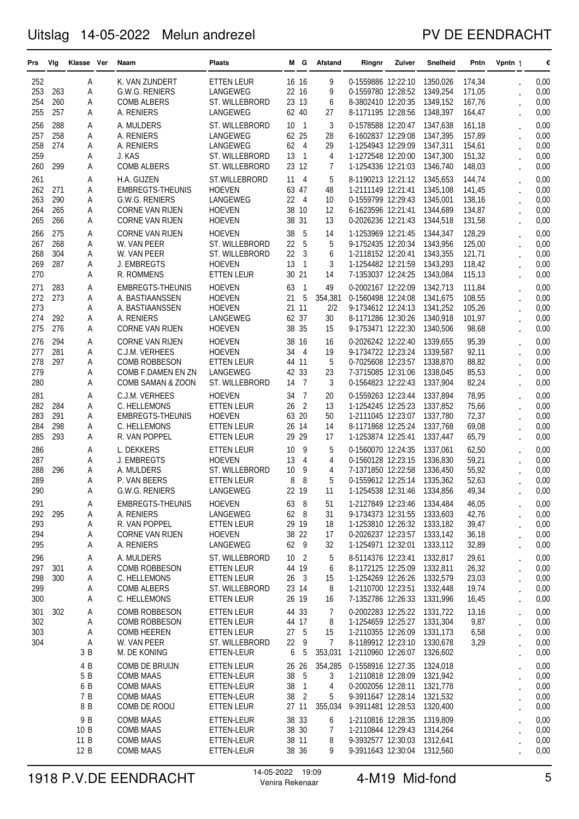### PV DE EENDRACHT

| Prs        | Vlg        | Klasse Ver   | Naam                                 | <b>Plaats</b>                    | м        | G                       | <b>Afstand</b> | Ringnr                                                     | Zuiver | Snelheid             | Pntn             | Vpntn 1                                      | €            |
|------------|------------|--------------|--------------------------------------|----------------------------------|----------|-------------------------|----------------|------------------------------------------------------------|--------|----------------------|------------------|----------------------------------------------|--------------|
| 252        |            | Α            | K. VAN ZUNDERT                       | <b>ETTEN LEUR</b>                | 16 16    |                         | 9              | 0-1559886 12:22:10                                         |        | 1350,026             | 174,34           |                                              | 0,00         |
| 253        | 263        | A            | G.W.G. RENIERS                       | LANGEWEG                         |          | 22 16                   | 9              | 0-1559780 12:28:52                                         |        | 1349,254             | 171,05           |                                              | 0,00         |
| 254        | 260        | Α            | <b>COMB ALBERS</b>                   | ST. WILLEBRORD                   |          | 23 13                   | 6              | 8-3802410 12:20:35                                         |        | 1349,152             | 167,76           |                                              | 0,00         |
| 255        | 257        | A            | A. RENIERS                           | LANGEWEG                         |          | 62 40                   | 27             | 8-1171195 12:28:56                                         |        | 1348,397             | 164,47           |                                              | 0,00         |
| 256        | 288        | A            | A. MULDERS                           | ST. WILLEBRORD                   | 10       | - 1                     | 3              | 0-1578588 12:20:47                                         |        | 1347,638             | 161,18           |                                              | 0,00         |
| 257        | 258        | Α            | A. RENIERS                           | LANGEWEG                         | 62       | 25                      | 28             | 6-1602837 12:29:08                                         |        | 1347,395             | 157,89           |                                              | 0,00         |
| 258        | 274        | Α            | A. RENIERS                           | LANGEWEG                         | 62       | $\overline{4}$          | 29             | 1-1254943 12:29:09                                         |        | 1347,311             | 154,61           |                                              | 0,00         |
| 259        |            | Α            | J. KAS                               | <b>ST. WILLEBRORD</b>            | 13       | $\mathbf{1}$            | $\overline{4}$ | 1-1272548 12:20:00                                         |        | 1347,300             | 151,32           |                                              | 0,00         |
| 260        | 299        | Α            | <b>COMB ALBERS</b>                   | ST. WILLEBRORD                   |          | 23 12                   | 7              | 1-1254336 12:21:03                                         |        | 1346,740             | 148,03           |                                              | 0,00         |
| 261        |            | Α            | H.A. GIJZEN                          | ST.WILLEBRORD                    | 11       | $\overline{4}$          | 5              | 8-1190213 12:21:12 1345,653                                |        |                      | 144,74           |                                              | 0,00         |
| 262        | 271        | Α            | <b>EMBREGTS-THEUNIS</b>              | <b>HOEVEN</b>                    | 63 47    |                         | 48             | 1-2111149 12:21:41                                         |        | 1345,108             | 141,45           |                                              | 0,00         |
| 263        | 290        | Α            | <b>G.W.G. RENIERS</b>                | LANGEWEG                         | 22       | $\overline{4}$          | 10             | 0-1559799 12:29:43                                         |        | 1345,001             | 138,16           |                                              | 0,00         |
| 264        | 265<br>266 | A            | <b>CORNE VAN RIJEN</b>               | <b>HOEVEN</b>                    |          | 38 10<br>31             | 12             | 6-1623596 12:21:41                                         |        | 1344,689             | 134,87           |                                              | 0,00         |
| 265        |            | A            | <b>CORNE VAN RIJEN</b>               | <b>HOEVEN</b>                    | 38       |                         | 13             | 0-2026236 12:21:43                                         |        | 1344,518             | 131,58           |                                              | 0,00         |
| 266        | 275        | Α            | <b>CORNE VAN RIJEN</b>               | <b>HOEVEN</b>                    | 38       | 5                       | 14             | 1-1253969 12:21:45                                         |        | 1344.347             | 128,29           |                                              | 0,00         |
| 267<br>268 | 268<br>304 | A            | W. VAN PEER<br>W. VAN PEER           | ST. WILLEBRORD<br>ST. WILLEBRORD | 22<br>22 | 5<br>3                  | 5<br>6         | 9-1752435 12:20:34<br>1-2118152 12:20:41                   |        | 1343,956<br>1343,355 | 125,00           |                                              | 0,00<br>0,00 |
| 269        | 287        | Α<br>Α       | J. EMBREGTS                          | <b>HOEVEN</b>                    | 13       | 1                       | 3              | 1-1254482 12:21:59                                         |        | 1343,293             | 121,71<br>118,42 |                                              | 0,00         |
| 270        |            | Α            | R. ROMMENS                           | <b>ETTEN LEUR</b>                |          | 30 21                   | 14             | 7-1353037 12:24:25                                         |        | 1343,084             | 115,13           |                                              | 0,00         |
| 271        | 283        |              | <b>EMBREGTS-THEUNIS</b>              | <b>HOEVEN</b>                    | 63       | 1                       | 49             | 0-2002167 12:22:09                                         |        | 1342.713             | 111,84           |                                              | 0,00         |
| 272        | 273        | Α<br>Α       | A. BASTIAANSSEN                      | <b>HOEVEN</b>                    | 21       | 5                       | 354,381        | 0-1560498 12:24:08                                         |        | 1341.675             | 108,55           |                                              | 0,00         |
| 273        |            | A            | A. BASTIAANSSEN                      | <b>HOEVEN</b>                    |          | 21 11                   | 2/2            | 9-1734612 12:24:13                                         |        | 1341,252             | 105,26           |                                              | 0,00         |
| 274        | 292        | Α            | A. RENIERS                           | LANGEWEG                         | 62 37    |                         | 30             | 8-1171286 12:30:26                                         |        | 1340,918             | 101,97           |                                              | 0,00         |
| 275        | 276        | Α            | <b>CORNE VAN RIJEN</b>               | <b>HOEVEN</b>                    |          | 38 35                   | 15             | 9-1753471 12:22:30                                         |        | 1340,506             | 98,68            |                                              | 0,00         |
| 276        | 294        | Α            | <b>CORNE VAN RIJEN</b>               | <b>HOEVEN</b>                    |          | 38 16                   | 16             | 0-2026242 12:22:40                                         |        | 1339.655             | 95,39            |                                              | 0,00         |
| 277        | 281        | Α            | C.J.M. VERHEES                       | <b>HOEVEN</b>                    | 34       | $\overline{4}$          | 19             | 9-1734722 12:23:24                                         |        | 1339,587             | 92,11            |                                              | 0,00         |
| 278        | 297        | Α            | <b>COMB ROBBESON</b>                 | <b>ETTEN LEUR</b>                |          | 44 11                   | 5              | 0-7025608 12:23:57                                         |        | 1338,870             | 88,82            |                                              | 0,00         |
| 279        |            | Α            | COMB F.DAMEN EN ZN                   | LANGEWEG                         | 42       | 33                      | 23             | 7-3715085 12:31:06                                         |        | 1338,045             | 85,53            |                                              | 0,00         |
| 280        |            | Α            | COMB SAMAN & ZOON                    | ST. WILLEBRORD                   | 14       | -7                      | 3              | 0-1564823 12:22:43                                         |        | 1337,904             | 82,24            |                                              | 0,00         |
| 281        |            | Α            | C.J.M. VERHEES                       | <b>HOEVEN</b>                    | 34       | $\overline{7}$          | 20             | 0-1559263 12:23:44                                         |        | 1337,894             | 78,95            |                                              | 0,00         |
| 282        | 284        | Α            | C. HELLEMONS                         | <b>ETTEN LEUR</b>                | 26       | $\overline{2}$          | 13             | 1-1254245 12:25:23                                         |        | 1337,852             | 75,66            |                                              | 0,00         |
| 283        | 291        | Α            | <b>EMBREGTS-THEUNIS</b>              | <b>HOEVEN</b>                    | 63       | 20                      | 50             | 1-2111045 12:23:07                                         |        | 1337,780             | 72,37            |                                              | 0,00         |
| 284        | 298        | Α            | C. HELLEMONS                         | ETTEN LEUR                       | 26       | 14                      | 14             | 8-1171868 12:25:24                                         |        | 1337,768             | 69,08            |                                              | 0,00         |
| 285        | 293        | Α            | R. VAN POPPEL                        | ETTEN LEUR                       | 29       | 29                      | 17             | 1-1253874 12:25:41                                         |        | 1337,447             | 65,79            |                                              | 0,00         |
| 286        |            | Α            | L. DEKKERS                           | <b>ETTEN LEUR</b>                | 10       | 9                       | 5              | 0-1560070 12:24:35                                         |        | 1337,061             | 62,50            |                                              | 0,00         |
| 287        |            | Α            | J. EMBREGTS                          | <b>HOEVEN</b>                    | 13       | $\overline{4}$          | 4              | 0-1560128 12:23:15                                         |        | 1336,830             | 59,21            |                                              | 0,00         |
| 288        | 296        | Α            | A. MULDERS                           | ST. WILLEBRORD                   | 10       | 9                       | 4              | 7-1371850 12:22:58                                         |        | 1336,450             | 55,92            |                                              | 0,00         |
| 289        |            | Α            | P. VAN BEERS                         | ETTEN LEUR                       | 8        | 8<br>22 19              | 5              | 0-1559612 12:25:14                                         |        | 1335,362             | 52,63            |                                              | 0,00         |
| 290        |            | A            | G.W.G. RENIERS                       | LANGEWEG                         |          |                         | 11             | 1-1254538 12:31:46                                         |        | 1334,856             | 49,34            |                                              | 0,00         |
| 291        |            | A            | <b>EMBREGTS-THEUNIS</b>              | <b>HOEVEN</b>                    | 63       | - 8                     | 51             | 1-2127849 12:23:46 1334,484                                |        |                      | 46,05            |                                              | 0,00         |
| 292<br>293 | 295        | А<br>Α       | A. RENIERS<br>R. VAN POPPEL          | LANGEWEG<br>ETTEN LEUR           |          | 62 8<br>29 19           | 31<br>18       | 9-1734373 12:31:55 1333,603<br>1-1253810 12:26:32 1333,182 |        |                      | 42,76<br>39,47   | $\ddot{\phantom{0}}$                         | 0,00<br>0,00 |
| 294        |            | Α            | CORNE VAN RIJEN                      | <b>HOEVEN</b>                    |          | 38 22                   | 17             | 0-2026237 12:23:57 1333,142                                |        |                      | 36,18            |                                              | 0,00         |
| 295        |            | А            | A. RENIERS                           | LANGEWEG                         | 62 9     |                         | 32             | 1-1254971 12:32:01 1333,112                                |        |                      | 32,89            | $\ddot{\phantom{0}}$<br>$\ddot{\phantom{0}}$ | 0,00         |
| 296        |            | Α            | A. MULDERS                           | ST. WILLEBRORD                   | 10 2     |                         | 5              | 8-5114376 12:23:41 1332,817                                |        |                      | 29,61            |                                              | 0,00         |
| 297        | 301        | Α            | <b>COMB ROBBESON</b>                 | ETTEN LEUR                       | 44 19    |                         | 6              | 8-1172125 12:25:09 1332,811                                |        |                      | 26,32            | $\ddot{\phantom{0}}$<br>$\ddot{\phantom{0}}$ | 0,00         |
| 298        | 300        | Α            | C. HELLEMONS                         | ETTEN LEUR                       | 26       | $\overline{\mathbf{3}}$ | 15             | 1-1254269 12:26:26                                         |        | 1332,579             | 23,03            | $\ddot{\phantom{0}}$                         | 0,00         |
| 299        |            | А            | <b>COMB ALBERS</b>                   | ST. WILLEBRORD                   |          | 23 14                   | 8              | 1-2110700 12:23:51 1332,448                                |        |                      | 19,74            |                                              | 0,00         |
| 300        |            | Α            | C. HELLEMONS                         | ETTEN LEUR                       |          | 26 19                   | 16             | 7-1352786 12:26:33 1331,996                                |        |                      | 16,45            | $\ddot{\phantom{0}}$                         | 0,00         |
| 301        | 302        | Α            | <b>COMB ROBBESON</b>                 | <b>ETTEN LEUR</b>                |          | 44 33                   | 7              | 0-2002283 12:25:22 1331,722                                |        |                      | 13,16            |                                              | 0,00         |
| 302        |            | Α            | <b>COMB ROBBESON</b>                 | <b>ETTEN LEUR</b>                | 44 17    |                         | 8              | 1-1254659 12:25:27 1331,304                                |        |                      | 9,87             |                                              | 0,00         |
| 303        |            | Α            | <b>COMB HEEREN</b>                   | <b>ETTEN LEUR</b>                | 27       | 5                       | 15             | 1-2110355 12:26:09 1331,173                                |        |                      | 6,58             | $\ddot{\phantom{0}}$                         | 0,00         |
| 304        |            | A            | W. VAN PEER                          | ST. WILLEBRORD                   | 22       | 9                       | 7              | 8-1189912 12:23:10 1330,678                                |        |                      | 3,29             | $\ddot{\phantom{0}}$                         | 0,00         |
|            |            | 3 B          | M. DE KONING                         | ETTEN-LEUR                       | 6        | 5                       | 353,031        | 1-2110960 12:26:07 1326,602                                |        |                      |                  | $\cdot$                                      | 0,00         |
|            |            | 4 B          | COMB DE BRUIJN                       | <b>ETTEN LEUR</b>                | 26       | 26                      | 354,285        | 0-1558916 12:27:35                                         |        | 1324,018             |                  |                                              | 0,00         |
|            |            | 5 B          | <b>COMB MAAS</b>                     | ETTEN-LEUR                       | 38       | -5                      | 3              | 1-2110818 12:28:09 1321,942                                |        |                      |                  |                                              | 0,00         |
|            |            | 6 B          | <b>COMB MAAS</b>                     | ETTEN-LEUR                       |          | 38 <sub>1</sub>         | 4              | 0-2002056 12:28:11 1321,778                                |        |                      |                  |                                              | 0,00         |
|            |            | 7 B          | <b>COMB MAAS</b>                     | ETTEN-LEUR                       | 38       | $\overline{2}$          | 5              | 9-3911647 12:28:14 1321,532                                |        |                      |                  | $\ddot{\phantom{0}}$                         | 0,00         |
|            |            | 8 B          | COMB DE ROOIJ                        | ETTEN LEUR                       | 27 11    |                         | 355,034        | 9-3911481 12:28:53 1320,400                                |        |                      |                  | $\ddot{\phantom{0}}$                         | 0,00         |
|            |            | 9 B          | <b>COMB MAAS</b>                     | ETTEN-LEUR                       |          | 38 33                   | 6              | 1-2110816 12:28:35 1319,809                                |        |                      |                  |                                              | 0,00         |
|            |            | 10 B<br>11 B | <b>COMB MAAS</b>                     | ETTEN-LEUR                       | 38 30    | 38 11                   | 7              | 1-2110844 12:29:43 1314,264<br>9-3932577 12:30:03 1312,641 |        |                      |                  |                                              | 0,00         |
|            |            | 12 B         | <b>COMB MAAS</b><br><b>COMB MAAS</b> | ETTEN-LEUR<br>ETTEN-LEUR         |          | 38 36                   | 8<br>9         | 9-3911643 12:30:04 1312,560                                |        |                      |                  |                                              | 0,00<br>0,00 |
|            |            |              |                                      |                                  |          |                         |                |                                                            |        |                      |                  |                                              |              |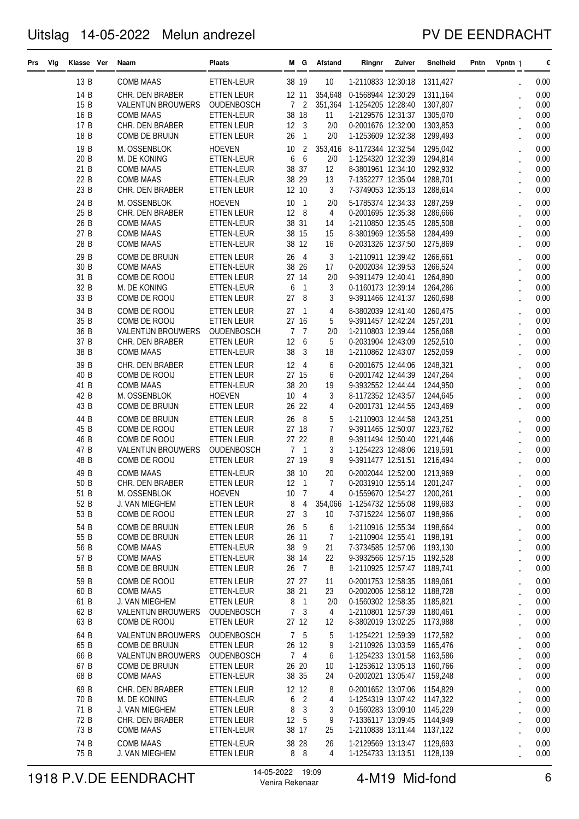### PV DE EENDRACHT

| Prs Vig | Klasse Ver   | Naam                                        | <b>Plaats</b>                          |                         | MG.                            | Afstand            | Ringnr                                                     | Zuiver | Snelheid             | Pntn | Vpntn 1 |                      | €            |
|---------|--------------|---------------------------------------------|----------------------------------------|-------------------------|--------------------------------|--------------------|------------------------------------------------------------|--------|----------------------|------|---------|----------------------|--------------|
|         | 13 B         | COMB MAAS                                   | ETTEN-LEUR                             | 38 19                   |                                | 10                 | 1-2110833 12:30:18 1311,427                                |        |                      |      |         |                      | 0,00         |
|         | 14 B<br>15 B | CHR. DEN BRABER<br>VALENTIJN BROUWERS       | <b>ETTEN LEUR</b><br>OUDENBOSCH        | 12 11<br>$\overline{7}$ | $\overline{2}$                 | 354,648<br>351,364 | 0-1568944 12:30:29<br>1-1254205 12:28:40 1307,807          |        | 1311,164             |      |         |                      | 0,00<br>0,00 |
|         | 16 B         | <b>COMB MAAS</b>                            | ETTEN-LEUR                             |                         | 38 18                          | 11                 | 1-2129576 12:31:37 1305,070                                |        |                      |      |         |                      | 0,00         |
|         | 17 B         | CHR. DEN BRABER                             | <b>ETTEN LEUR</b>                      | 12 3                    |                                | 2/0                | 0-2001676 12:32:00 1303,853                                |        |                      |      |         |                      | 0,00         |
|         | 18 B<br>19 B | COMB DE BRUIJN                              | ETTEN LEUR<br><b>HOEVEN</b>            | 26<br>10                | $\mathbf{1}$<br>$\overline{c}$ | 2/0                | 1-1253609 12:32:38<br>8-1172344 12:32:54                   |        | 1299,493<br>1295,042 |      |         |                      | 0,00         |
|         | 20 B         | M. OSSENBLOK<br>M. DE KONING                | ETTEN-LEUR                             | 6                       | 6                              | 353,416<br>2/0     | 1-1254320 12:32:39 1294,814                                |        |                      |      |         |                      | 0,00<br>0,00 |
|         | 21 B         | <b>COMB MAAS</b>                            | ETTEN-LEUR                             | 38 37                   |                                | 12                 | 8-3801961 12:34:10 1292,932                                |        |                      |      |         |                      | 0,00         |
|         | 22 B<br>23 B | COMB MAAS<br>CHR. DEN BRABER                | ETTEN-LEUR<br>ETTEN LEUR               | 38 29<br>12 10          |                                | 13<br>3            | 7-1352277 12:35:04 1288,701<br>7-3749053 12:35:13 1288,614 |        |                      |      |         |                      | 0,00<br>0,00 |
|         | 24 B         | M. OSSENBLOK                                | <b>HOEVEN</b>                          | 10                      | 1                              | 2/0                | 5-1785374 12:34:33 1287,259                                |        |                      |      |         |                      | 0,00         |
|         | 25 B         | CHR. DEN BRABER                             | <b>ETTEN LEUR</b>                      | 12                      | 8                              | $\overline{4}$     | 0-2001695 12:35:38 1286,666                                |        |                      |      |         |                      | 0,00         |
|         | 26 B<br>27 B | <b>COMB MAAS</b><br>COMB MAAS               | ETTEN-LEUR<br>ETTEN-LEUR               | 38 31<br>38 15          |                                | 14<br>15           | 1-2110850 12:35:45 1285,508<br>8-3801969 12:35:58 1284,499 |        |                      |      |         |                      | 0,00<br>0,00 |
|         | 28 B         | COMB MAAS                                   | ETTEN-LEUR                             | 38 12                   |                                | 16                 | 0-2031326 12:37:50 1275,869                                |        |                      |      |         |                      | 0,00         |
|         | 29 B         | COMB DE BRUIJN                              | ETTEN LEUR                             | 26                      | $\overline{4}$                 | 3                  | 1-2110911 12:39:42                                         |        | 1266,661             |      |         |                      | 0,00         |
|         | 30 B         | <b>COMB MAAS</b>                            | ETTEN-LEUR                             | 38                      | 26                             | 17                 | 0-2002034 12:39:53 1266,524                                |        |                      |      |         |                      | 0,00         |
|         | 31 B<br>32 B | COMB DE ROOIJ<br>M. DE KONING               | <b>ETTEN LEUR</b><br>ETTEN-LEUR        | 27 14<br>6              | 1                              | 2/0<br>3           | 9-3911479 12:40:41 1264,890<br>0-1160173 12:39:14 1264,286 |        |                      |      |         |                      | 0,00<br>0,00 |
|         | 33 B         | COMB DE ROOIJ                               | <b>ETTEN LEUR</b>                      | 27                      | 8                              | 3                  | 9-3911466 12:41:37                                         |        | 1260,698             |      |         |                      | 0,00         |
|         | 34 B         | COMB DE ROOIJ                               | ETTEN LEUR                             | 27                      | 1                              | 4                  | 8-3802039 12:41:40                                         |        | 1260,475             |      |         |                      | 0,00         |
|         | 35 B<br>36 B | COMB DE ROOIJ<br><b>VALENTIJN BROUWERS</b>  | ETTEN LEUR<br><b>OUDENBOSCH</b>        | 27 16<br>$\overline{7}$ | $\overline{7}$                 | 5<br>2/0           | 9-3911457 12:42:24 1257,201<br>1-2110803 12:39:44 1256,068 |        |                      |      |         |                      | 0,00<br>0,00 |
|         | 37 B         | CHR. DEN BRABER                             | ETTEN LEUR                             | 12                      | 6                              | 5                  | 0-2031904 12:43:09 1252,510                                |        |                      |      |         |                      | 0,00         |
|         | 38 B         | COMB MAAS                                   | ETTEN-LEUR                             | 38                      | 3                              | 18                 | 1-2110862 12:43:07 1252,059                                |        |                      |      |         |                      | 0,00         |
|         | 39 B<br>40 B | CHR. DEN BRABER<br>COMB DE ROOIJ            | <b>ETTEN LEUR</b><br><b>ETTEN LEUR</b> | 12<br>27 15             | $\overline{4}$                 | 6<br>6             | 0-2001675 12:44:06 1248,321<br>0-2001742 12:44:39 1247,264 |        |                      |      |         |                      | 0,00<br>0,00 |
|         | 41 B         | <b>COMB MAAS</b>                            | ETTEN-LEUR                             | 38 20                   |                                | 19                 | 9-3932552 12:44:44 1244,950                                |        |                      |      |         |                      | 0,00         |
|         | 42 B         | M. OSSENBLOK                                | <b>HOEVEN</b>                          | 10                      | $\overline{4}$                 | 3                  | 8-1172352 12:43:57 1244,645                                |        |                      |      |         |                      | 0,00         |
|         | 43 B         | COMB DE BRUIJN                              | <b>ETTEN LEUR</b>                      | 26 22<br>26             | - 8                            | 4                  | 0-2001731 12:44:55 1243,469                                |        |                      |      |         |                      | 0,00         |
|         | 44 B<br>45 B | COMB DE BRUIJN<br>COMB DE ROOIJ             | <b>ETTEN LEUR</b><br><b>ETTEN LEUR</b> | 27 18                   |                                | 5<br>7             | 1-2110903 12:44:58<br>9-3911465 12:50:07 1223,762          |        | 1243.251             |      |         |                      | 0,00<br>0,00 |
|         | 46 B         | COMB DE ROOIJ                               | <b>ETTEN LEUR</b>                      | 27 22                   |                                | 8                  | 9-3911494 12:50:40 1221,446                                |        |                      |      |         |                      | 0,00         |
|         | 47 B<br>48 B | <b>VALENTIJN BROUWERS</b><br>COMB DE ROOIJ  | <b>OUDENBOSCH</b><br>ETTEN LEUR        | 7<br>27 19              | -1                             | 3<br>9             | 1-1254223 12:48:06 1219,591<br>9-3911477 12:51:51 1216,494 |        |                      |      |         |                      | 0,00<br>0,00 |
|         | 49 B         | <b>COMB MAAS</b>                            | ETTEN-LEUR                             | 38 10                   |                                | 20                 | 0-2002044 12:52:00                                         |        | 1213,969             |      |         |                      | 0,00         |
|         | 50 B         | CHR. DEN BRABER                             | ETTEN LEUR                             | 12 1                    |                                | 7                  | 0-2031910 12:55:14                                         |        | 1201,247             |      |         |                      | 0,00         |
|         | 51 B<br>52 B | M. OSSENBLOK<br>J. VAN MIEGHEM              | <b>HOEVEN</b><br><b>ETTEN LEUR</b>     | 10 7<br>8               | $\overline{4}$                 | 4<br>354,066       | 0-1559670 12:54:27 1200,261<br>1-1254732 12:55:08 1199,683 |        |                      |      |         |                      | 0,00<br>0,00 |
|         | 53 B         | COMB DE ROOIJ                               | ETTEN LEUR                             | 27 3                    |                                | 10                 | 7-3715224 12:56:07 1198,966                                |        |                      |      |         |                      | 0,00         |
|         | 54 B         | COMB DE BRUIJN                              | ETTEN LEUR                             | 26 5                    |                                | 6                  | 1-2110916 12:55:34 1198,664                                |        |                      |      |         |                      | 0,00         |
|         | 55 B<br>56 B | COMB DE BRUIJN<br><b>COMB MAAS</b>          | ETTEN LEUR                             | 26 11<br>38 9           |                                | 7                  | 1-2110904 12:55:41 1198,191<br>7-3734585 12:57:06 1193,130 |        |                      |      |         |                      | 0,00         |
|         | 57 B         | <b>COMB MAAS</b>                            | ETTEN-LEUR<br>ETTEN-LEUR               | 38 14                   |                                | 21<br>22           | 9-3932566 12:57:15 1192,528                                |        |                      |      |         |                      | 0,00<br>0,00 |
|         | 58 B         | COMB DE BRUIJN                              | ETTEN LEUR                             | 26 7                    |                                | 8                  | 1-2110925 12:57:47 1189,741                                |        |                      |      |         |                      | 0,00         |
|         | 59 B         | COMB DE ROOIJ                               | <b>ETTEN LEUR</b>                      | 27 27                   |                                | 11                 | 0-2001753 12:58:35 1189,061                                |        |                      |      |         |                      | 0,00         |
|         | 60 B<br>61 B | <b>COMB MAAS</b><br>J. VAN MIEGHEM          | ETTEN-LEUR<br>ETTEN LEUR               | 38 21<br>8              | 1                              | 23<br>2/0          | 0-2002006 12:58:12 1188,728<br>0-1560302 12:58:35 1185,821 |        |                      |      |         |                      | 0,00<br>0,00 |
|         | 62 B         | <b>VALENTIJN BROUWERS</b>                   | <b>OUDENBOSCH</b>                      |                         | 7 <sup>3</sup>                 | 4                  | 1-2110801 12:57:39 1180,461                                |        |                      |      |         |                      | 0,00         |
|         | 63 B         | COMB DE ROOIJ                               | <b>ETTEN LEUR</b>                      | 27 12                   |                                | 12                 | 8-3802019 13:02:25 1173,988                                |        |                      |      |         |                      | 0,00         |
|         | 64 B<br>65 B | <b>VALENTIJN BROUWERS</b><br>COMB DE BRUIJN | <b>OUDENBOSCH</b><br>ETTEN LEUR        | 26 12                   | 7 <sub>5</sub>                 | 5<br>9             | 1-1254221 12:59:39 1172,582<br>1-2110926 13:03:59 1165,476 |        |                      |      |         |                      | 0,00<br>0,00 |
|         | 66 B         | <b>VALENTIJN BROUWERS</b>                   | <b>OUDENBOSCH</b>                      |                         | 74                             | 6                  | 1-1254233 13:01:58 1163,586                                |        |                      |      |         |                      | 0,00         |
|         | 67 B         | COMB DE BRUIJN                              | ETTEN LEUR                             | 26 20                   |                                | 10                 | 1-1253612 13:05:13 1160,766                                |        |                      |      |         |                      | 0,00         |
|         | 68 B<br>69 B | COMB MAAS<br>CHR. DEN BRABER                | ETTEN-LEUR<br>ETTEN LEUR               | 38 35<br>12 12          |                                | 24<br>8            | 0-2002021 13:05:47 1159,248<br>0-2001652 13:07:06 1154,829 |        |                      |      |         |                      | 0,00<br>0,00 |
|         | 70 B         | M. DE KONING                                | ETTEN-LEUR                             | 6                       | $\overline{2}$                 | 4                  | 1-1254319 13:07:42 1147,322                                |        |                      |      |         |                      | 0,00         |
|         | 71 B         | J. VAN MIEGHEM                              | ETTEN LEUR                             | 8                       | 3                              | 3                  | 0-1560283 13:09:10 1145,229                                |        |                      |      |         |                      | 0,00         |
|         | 72 B<br>73 B | CHR. DEN BRABER<br><b>COMB MAAS</b>         | ETTEN LEUR<br>ETTEN-LEUR               | 12 5<br>38 17           |                                | 9<br>25            | 7-1336117 13:09:45 1144,949<br>1-2110838 13:11:44 1137,122 |        |                      |      |         | $\ddot{\phantom{0}}$ | 0,00<br>0,00 |
|         | 74 B         | <b>COMB MAAS</b>                            | ETTEN-LEUR                             | 38 28                   |                                | 26                 | 1-2129569 13:13:47 1129,693                                |        |                      |      |         |                      | 0,00         |
|         | 75 B         | J. VAN MIEGHEM                              | ETTEN LEUR                             |                         | 8 8                            | 4                  | 1-1254733 13:13:51 1128,139                                |        |                      |      |         |                      | 0,00         |

# 1918 P.V.DE EENDRACHT 14-05-2022 19:09 4-M19 Mid-fond 6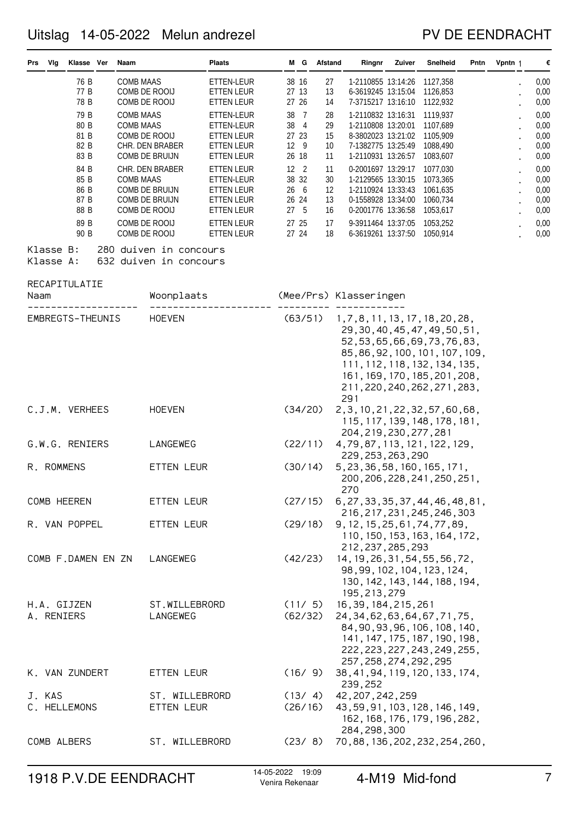### PV DE EENDRACHT

| Vlg<br><b>Prs</b>         | Klasse Ver                                   | Naam                                 |                                                                                       | <b>Plaats</b>                                                                                  |                               | MG.                  | Afstand                          | Ringnr                                                                                                                                                                                                                                              | Zuiver | Snelheid                                                             | Pntn | Vpntn 1 | €                                            |
|---------------------------|----------------------------------------------|--------------------------------------|---------------------------------------------------------------------------------------|------------------------------------------------------------------------------------------------|-------------------------------|----------------------|----------------------------------|-----------------------------------------------------------------------------------------------------------------------------------------------------------------------------------------------------------------------------------------------------|--------|----------------------------------------------------------------------|------|---------|----------------------------------------------|
|                           | 76 B<br>77 B<br>78 B                         | <b>COMB MAAS</b>                     | COMB DE ROOIJ<br>COMB DE ROOIJ                                                        | ETTEN-LEUR<br>ETTEN LEUR<br>ETTEN LEUR                                                         | 27 13<br>27 26                | 38 16                | 27<br>13<br>14                   | 1-2110855 13:14:26<br>6-3619245 13:15:04<br>7-3715217 13:16:10                                                                                                                                                                                      |        | 1127,358<br>1126,853<br>1122,932                                     |      |         | 0,00<br>0,00<br>0,00                         |
|                           | 79 B<br>80 B<br>81 B<br>82 B<br>83 B         | <b>COMB MAAS</b><br><b>COMB MAAS</b> | COMB DE ROOIJ<br>CHR. DEN BRABER<br>COMB DE BRUIJN                                    | ETTEN-LEUR<br>ETTEN-LEUR<br>ETTEN LEUR<br>ETTEN LEUR<br>ETTEN LEUR                             | 27 23<br>26 18                | 38 7<br>38 4<br>12 9 | 28<br>29<br>15<br>10<br>11       | 1-2110832 13:16:31<br>1-2110808 13:20:01<br>8-3802023 13:21:02<br>7-1382775 13:25:49<br>1-2110931 13:26:57                                                                                                                                          |        | 1119,937<br>1107,689<br>1105,909<br>1088,490<br>1083,607             |      |         | 0,00<br>0,00<br>0,00<br>0,00<br>0,00         |
|                           | 84 B<br>85 B<br>86 B<br>87 B<br>88 B<br>89 B | <b>COMB MAAS</b>                     | CHR. DEN BRABER<br>COMB DE BRUIJN<br>COMB DE BRUIJN<br>COMB DE ROOIJ<br>COMB DE ROOIJ | <b>ETTEN LEUR</b><br>ETTEN-LEUR<br><b>ETTEN LEUR</b><br>ETTEN LEUR<br>ETTEN LEUR<br>ETTEN LEUR | 12 2<br>266<br>26 24<br>27 25 | 38 32<br>27 5        | 11<br>30<br>12<br>13<br>16<br>17 | 0-2001697 13:29:17<br>1-2129565 13:30:15<br>1-2110924 13:33:43<br>0-1558928 13:34:00<br>0-2001776 13:36:58<br>9-3911464 13:37:05                                                                                                                    |        | 1077,030<br>1073,365<br>1061,635<br>1060,734<br>1053,617<br>1053,252 |      |         | 0,00<br>0,00<br>0,00<br>0,00<br>0,00<br>0,00 |
| Klasse B:<br>Klasse A:    | 90 B                                         |                                      | COMB DE ROOIJ<br>280 duiven in concours<br>632 duiven in concours                     | ETTEN LEUR                                                                                     |                               | 27 24                | 18                               | 6-3619261 13:37:50                                                                                                                                                                                                                                  |        | 1050,914                                                             |      |         | 0,00                                         |
| RECAPITULATIE<br>Naam     |                                              |                                      | Woonplaats                                                                            |                                                                                                |                               |                      |                                  | (Mee/Prs) Klasseringen                                                                                                                                                                                                                              |        |                                                                      |      |         |                                              |
| EMBREGTS-THEUNIS          |                                              |                                      | <b>HOEVEN</b>                                                                         |                                                                                                |                               | (63/51)              |                                  | 1, 7, 8, 11, 13, 17, 18, 20, 28,<br>29, 30, 40, 45, 47, 49, 50, 51,<br>52, 53, 65, 66, 69, 73, 76, 83,<br>85, 86, 92, 100, 101, 107, 109,<br>111, 112, 118, 132, 134, 135,<br>161, 169, 170, 185, 201, 208,<br>211, 220, 240, 262, 271, 283,<br>291 |        |                                                                      |      |         |                                              |
| C.J.M. VERHEES            |                                              |                                      | <b>HOEVEN</b>                                                                         |                                                                                                |                               | (34/20)              |                                  | 2, 3, 10, 21, 22, 32, 57, 60, 68,<br>115, 117, 139, 148, 178, 181,<br>204, 219, 230, 277, 281                                                                                                                                                       |        |                                                                      |      |         |                                              |
| G.W.G. RENIERS            |                                              |                                      | LANGEWEG                                                                              |                                                                                                |                               | (22/11)              |                                  | 4,79,87,113,121,122,129,<br>229, 253, 263, 290                                                                                                                                                                                                      |        |                                                                      |      |         |                                              |
| R. ROMMENS                |                                              |                                      | ETTEN LEUR                                                                            |                                                                                                |                               | (30/14)              |                                  | 5, 23, 36, 58, 160, 165, 171,<br>200, 206, 228, 241, 250, 251,<br>270                                                                                                                                                                               |        |                                                                      |      |         |                                              |
| COMB HEEREN               |                                              |                                      | ETTEN LEUR                                                                            |                                                                                                |                               | (27/15)              |                                  | 6, 27, 33, 35, 37, 44, 46, 48, 81,<br>216, 217, 231, 245, 246, 303                                                                                                                                                                                  |        |                                                                      |      |         |                                              |
| R. VAN POPPEL             |                                              |                                      | ETTEN LEUR                                                                            |                                                                                                |                               | (29/18)              |                                  | 9, 12, 15, 25, 61, 74, 77, 89,<br>110, 150, 153, 163, 164, 172,<br>212, 237, 285, 293                                                                                                                                                               |        |                                                                      |      |         |                                              |
| COMB F.DAMEN EN ZN        |                                              |                                      | LANGEWEG                                                                              |                                                                                                |                               | (42/23)              |                                  | 14, 19, 26, 31, 54, 55, 56, 72,<br>98, 99, 102, 104, 123, 124,<br>130, 142, 143, 144, 188, 194,<br>195, 213, 279                                                                                                                                    |        |                                                                      |      |         |                                              |
| H.A. GIJZEN<br>A. RENIERS |                                              |                                      | ST.WILLEBRORD<br>LANGEWEG                                                             |                                                                                                |                               | (11/5)<br>(62/32)    |                                  | 16, 39, 184, 215, 261<br>24, 34, 62, 63, 64, 67, 71, 75,<br>84, 90, 93, 96, 106, 108, 140,<br>141, 147, 175, 187, 190, 198,<br>222, 223, 227, 243, 249, 255,<br>257, 258, 274, 292, 295                                                             |        |                                                                      |      |         |                                              |
| K. VAN ZUNDERT            |                                              |                                      | ETTEN LEUR                                                                            |                                                                                                |                               | (16/9)               |                                  | 38, 41, 94, 119, 120, 133, 174,<br>239,252                                                                                                                                                                                                          |        |                                                                      |      |         |                                              |
| J. KAS<br>C. HELLEMONS    |                                              |                                      | ST. WILLEBRORD<br>ETTEN LEUR                                                          |                                                                                                |                               | (13/4)               | (26/16)                          | 42, 207, 242, 259<br>43, 59, 91, 103, 128, 146, 149,<br>162, 168, 176, 179, 196, 282,                                                                                                                                                               |        |                                                                      |      |         |                                              |
| COMB ALBERS               |                                              |                                      | ST. WILLEBRORD                                                                        |                                                                                                |                               |                      | (23/8)                           | 284, 298, 300<br>70, 88, 136, 202, 232, 254, 260,                                                                                                                                                                                                   |        |                                                                      |      |         |                                              |

1918 P.V.DE EENDRACHT <sup>14-05-2022</sup> <sup>19:09</sup> 4-M19 Mid-fond 7